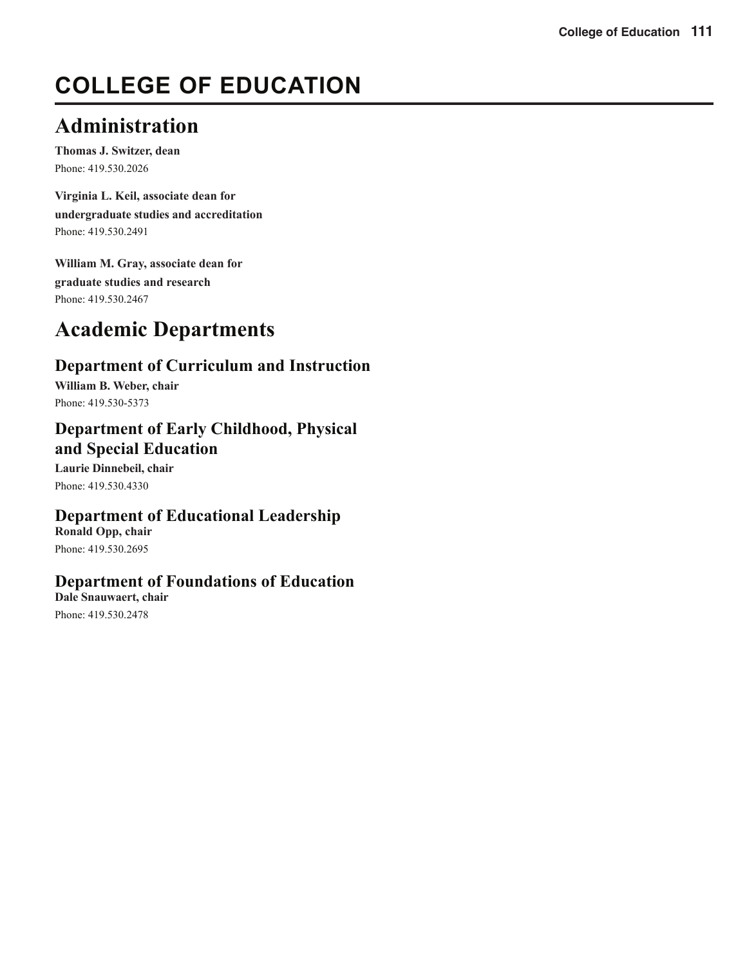# **COLLEGE OF EDUCATION**

# **Administration**

**Thomas J. Switzer, dean**  Phone: 419.530.2026

**Virginia L. Keil, associate dean for undergraduate studies and accreditation** Phone: 419.530.2491

**William M. Gray, associate dean for graduate studies and research**  Phone: 419.530.2467

# **Academic Departments**

# **Department of Curriculum and Instruction**

**William B. Weber, chair**  Phone: 419.530-5373

# **Department of Early Childhood, Physical and Special Education**

**Laurie Dinnebeil, chair**  Phone: 419.530.4330

# **Department of Educational Leadership**

**Ronald Opp, chair**  Phone: 419.530.2695

# **Department of Foundations of Education**

**Dale Snauwaert, chair**  Phone: 419.530.2478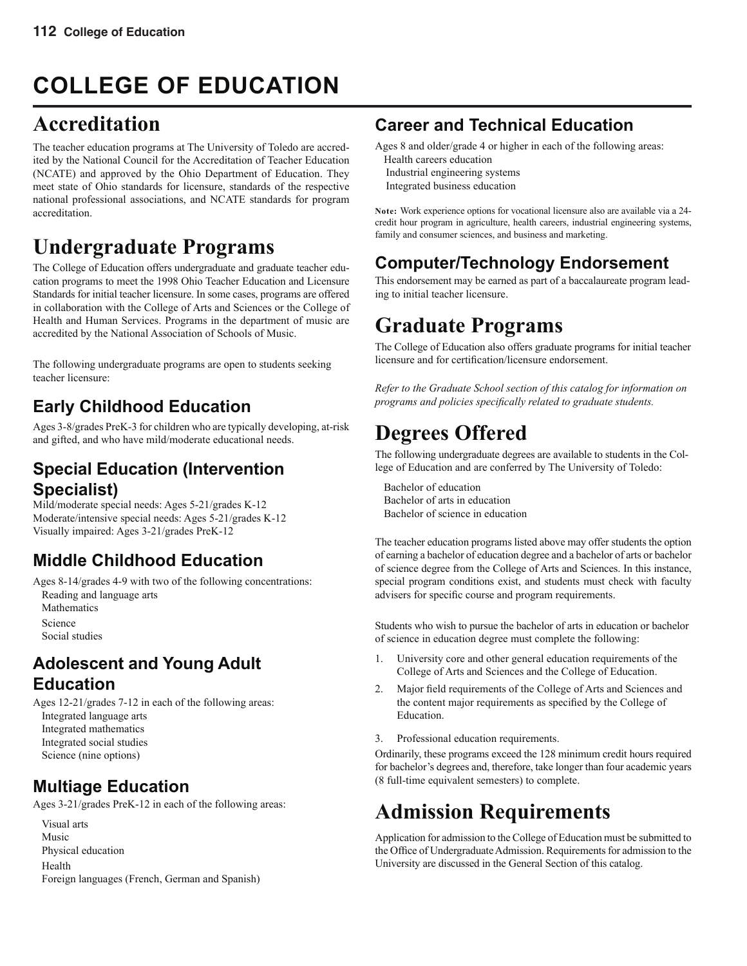# **COLLEGE OF EDUCATION**

# **Accreditation**

The teacher education programs at The University of Toledo are accredited by the National Council for the Accreditation of Teacher Education (NCATE) and approved by the Ohio Department of Education. They meet state of Ohio standards for licensure, standards of the respective national professional associations, and NCATE standards for program accreditation.

# **Undergraduate Programs**

The College of Education offers undergraduate and graduate teacher education programs to meet the 1998 Ohio Teacher Education and Licensure Standards for initial teacher licensure. In some cases, programs are offered in collaboration with the College of Arts and Sciences or the College of Health and Human Services. Programs in the department of music are accredited by the National Association of Schools of Music.

The following undergraduate programs are open to students seeking teacher licensure:

# **Early Childhood Education**

Ages 3-8/grades PreK-3 for children who are typically developing, at-risk and gifted, and who have mild/moderate educational needs.

# **Special Education (Intervention Specialist)**

Mild/moderate special needs: Ages 5-21/grades K-12 Moderate/intensive special needs: Ages 5-21/grades K-12 Visually impaired: Ages 3-21/grades PreK-12

# **Middle Childhood Education**

Ages 8-14/grades 4-9 with two of the following concentrations: Reading and language arts **Mathematics** Science

Social studies

# **Adolescent and Young Adult Education**

Ages 12-21/grades 7-12 in each of the following areas: Integrated language arts Integrated mathematics Integrated social studies Science (nine options)

# **Multiage Education**

Ages 3-21/grades PreK-12 in each of the following areas:

Visual arts Music Physical education Health Foreign languages (French, German and Spanish)

# **Career and Technical Education**

Ages 8 and older/grade 4 or higher in each of the following areas:

- Health careers education Industrial engineering systems
- Integrated business education

**Note:** Work experience options for vocational licensure also are available via a 24 credit hour program in agriculture, health careers, industrial engineering systems, family and consumer sciences, and business and marketing.

# **Computer/Technology Endorsement**

This endorsement may be earned as part of a baccalaureate program leading to initial teacher licensure.

# **Graduate Programs**

The College of Education also offers graduate programs for initial teacher licensure and for certification/licensure endorsement.

*Refer to the Graduate School section of this catalog for information on programs and policies specifically related to graduate students.* 

# **Degrees Offered**

The following undergraduate degrees are available to students in the College of Education and are conferred by The University of Toledo:

Bachelor of education Bachelor of arts in education Bachelor of science in education

The teacher education programs listed above may offer students the option of earning a bachelor of education degree and a bachelor of arts or bachelor of science degree from the College of Arts and Sciences. In this instance, special program conditions exist, and students must check with faculty advisers for specific course and program requirements.

Students who wish to pursue the bachelor of arts in education or bachelor of science in education degree must complete the following:

- 1. University core and other general education requirements of the College of Arts and Sciences and the College of Education.
- Major field requirements of the College of Arts and Sciences and the content major requirements as specified by the College of Education.
- 3. Professional education requirements.

Ordinarily, these programs exceed the 128 minimum credit hours required for bachelor's degrees and, therefore, take longer than four academic years (8 full-time equivalent semesters) to complete.

# **Admission Requirements**

Application for admission to the College of Education must be submitted to the Office of Undergraduate Admission. Requirements for admission to the University are discussed in the General Section of this catalog.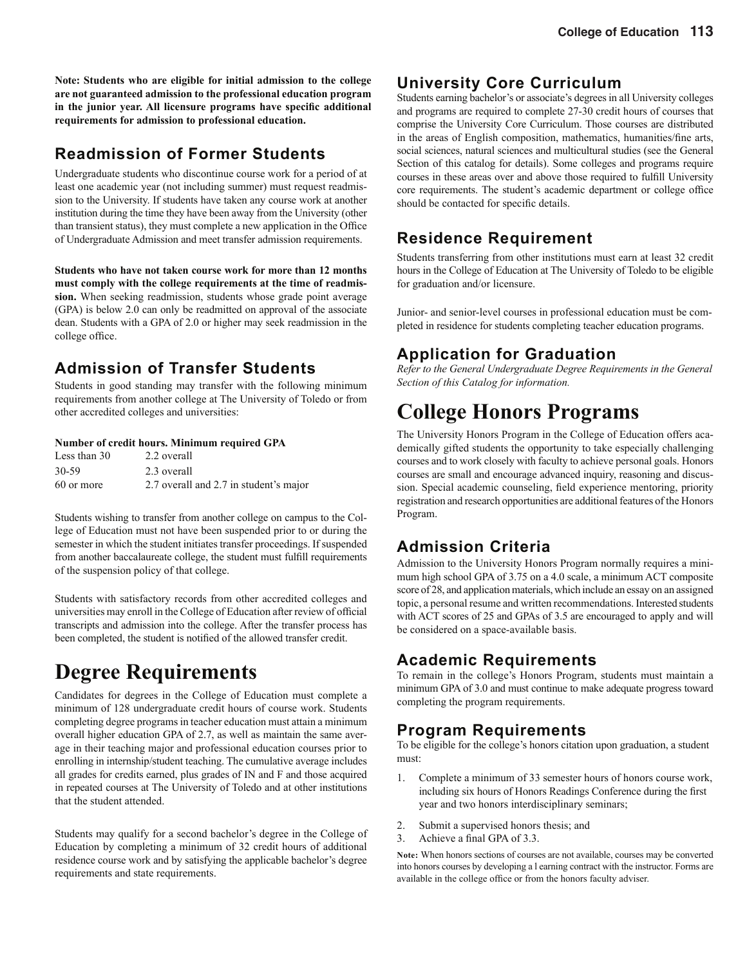**Note: Students who are eligible for initial admission to the college are not guaranteed admission to the professional education program**  in the junior year. All licensure programs have specific additional **requirements for admission to professional education.**

# **Readmission of Former Students**

Undergraduate students who discontinue course work for a period of at least one academic year (not including summer) must request readmission to the University. If students have taken any course work at another institution during the time they have been away from the University (other than transient status), they must complete a new application in the Office of Undergraduate Admission and meet transfer admission requirements.

**Students who have not taken course work for more than 12 months must comply with the college requirements at the time of readmission.** When seeking readmission, students whose grade point average (GPA) is below 2.0 can only be readmitted on approval of the associate dean. Students with a GPA of 2.0 or higher may seek readmission in the college office.

# **Admission of Transfer Students**

Students in good standing may transfer with the following minimum requirements from another college at The University of Toledo or from other accredited colleges and universities:

#### **Number of credit hours. Minimum required GPA**

| Less than 30 | 2.2 overall                            |
|--------------|----------------------------------------|
| 30-59        | 2.3 overall                            |
| 60 or more   | 2.7 overall and 2.7 in student's major |

Students wishing to transfer from another college on campus to the College of Education must not have been suspended prior to or during the semester in which the student initiates transfer proceedings. If suspended from another baccalaureate college, the student must fulfill requirements of the suspension policy of that college.

Students with satisfactory records from other accredited colleges and universities may enroll in the College of Education after review of official transcripts and admission into the college. After the transfer process has been completed, the student is notified of the allowed transfer credit.

# **Degree Requirements**

Candidates for degrees in the College of Education must complete a minimum of 128 undergraduate credit hours of course work. Students completing degree programs in teacher education must attain a minimum overall higher education GPA of 2.7, as well as maintain the same average in their teaching major and professional education courses prior to enrolling in internship/student teaching. The cumulative average includes all grades for credits earned, plus grades of IN and F and those acquired in repeated courses at The University of Toledo and at other institutions that the student attended.

Students may qualify for a second bachelor's degree in the College of Education by completing a minimum of 32 credit hours of additional residence course work and by satisfying the applicable bachelor's degree requirements and state requirements.

# **University Core Curriculum**

Students earning bachelor's or associate's degrees in all University colleges and programs are required to complete 27-30 credit hours of courses that comprise the University Core Curriculum. Those courses are distributed in the areas of English composition, mathematics, humanities/fine arts, social sciences, natural sciences and multicultural studies (see the General Section of this catalog for details). Some colleges and programs require courses in these areas over and above those required to fulfill University core requirements. The student's academic department or college office should be contacted for specific details.

# **Residence Requirement**

Students transferring from other institutions must earn at least 32 credit hours in the College of Education at The University of Toledo to be eligible for graduation and/or licensure.

Junior- and senior-level courses in professional education must be completed in residence for students completing teacher education programs.

# **Application for Graduation**

*Refer to the General Undergraduate Degree Requirements in the General Section of this Catalog for information.*

# **College Honors Programs**

The University Honors Program in the College of Education offers academically gifted students the opportunity to take especially challenging courses and to work closely with faculty to achieve personal goals. Honors courses are small and encourage advanced inquiry, reasoning and discussion. Special academic counseling, field experience mentoring, priority registration and research opportunities are additional features of the Honors Program.

# **Admission Criteria**

Admission to the University Honors Program normally requires a minimum high school GPA of 3.75 on a 4.0 scale, a minimum ACT composite score of 28, and application materials, which include an essay on an assigned topic, a personal resume and written recommendations. Interested students with ACT scores of 25 and GPAs of 3.5 are encouraged to apply and will be considered on a space-available basis.

# **Academic Requirements**

To remain in the college's Honors Program, students must maintain a minimum GPA of 3.0 and must continue to make adequate progress toward completing the program requirements.

# **Program Requirements**

To be eligible for the college's honors citation upon graduation, a student must:

- 1. Complete a minimum of 33 semester hours of honors course work, including six hours of Honors Readings Conference during the first year and two honors interdisciplinary seminars;
- 2. Submit a supervised honors thesis; and
- 3. Achieve a final GPA of 3.3.

**Note:** When honors sections of courses are not available, courses may be converted into honors courses by developing a l earning contract with the instructor. Forms are available in the college office or from the honors faculty adviser.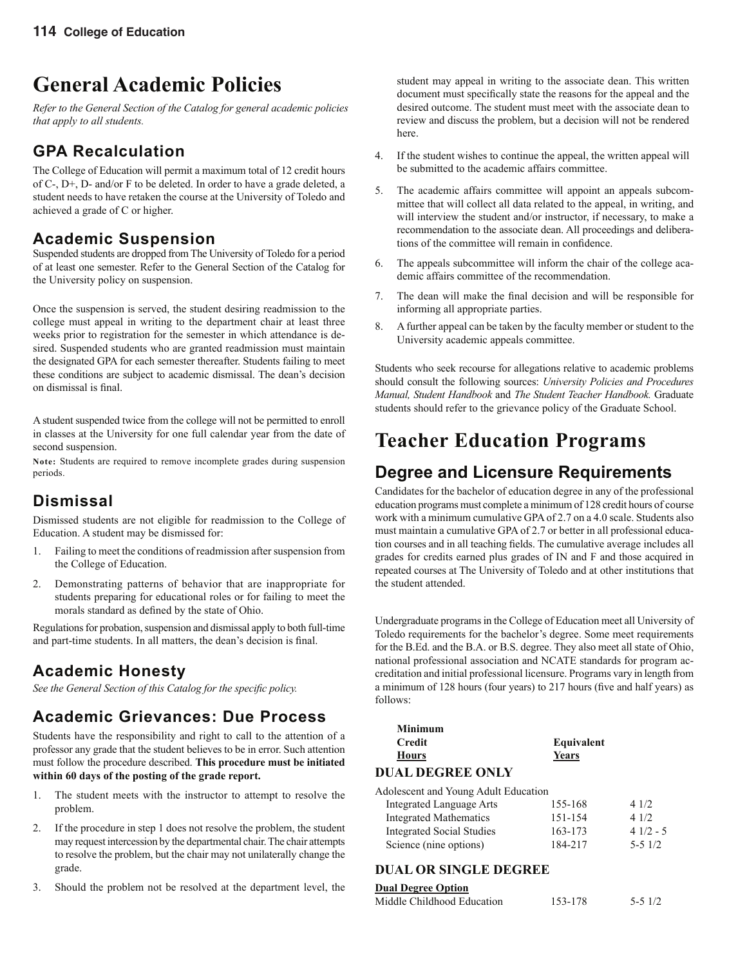# **General Academic Policies**

*Refer to the General Section of the Catalog for general academic policies that apply to all students.*

# **GPA Recalculation**

The College of Education will permit a maximum total of 12 credit hours of C-, D+, D- and/or F to be deleted. In order to have a grade deleted, a student needs to have retaken the course at the University of Toledo and achieved a grade of C or higher.

# **Academic Suspension**

Suspended students are dropped from The University of Toledo for a period of at least one semester. Refer to the General Section of the Catalog for the University policy on suspension.

Once the suspension is served, the student desiring readmission to the college must appeal in writing to the department chair at least three weeks prior to registration for the semester in which attendance is desired. Suspended students who are granted readmission must maintain the designated GPA for each semester thereafter. Students failing to meet these conditions are subject to academic dismissal. The dean's decision on dismissal is final.

A student suspended twice from the college will not be permitted to enroll in classes at the University for one full calendar year from the date of second suspension.

**Note:** Students are required to remove incomplete grades during suspension periods.

# **Dismissal**

Dismissed students are not eligible for readmission to the College of Education. A student may be dismissed for:

- 1. Failing to meet the conditions of readmission after suspension from the College of Education.
- 2. Demonstrating patterns of behavior that are inappropriate for students preparing for educational roles or for failing to meet the morals standard as defined by the state of Ohio.

Regulations for probation, suspension and dismissal apply to both full-time and part-time students. In all matters, the dean's decision is final.

# **Academic Honesty**

See the General Section of this Catalog for the specific policy.

# **Academic Grievances: Due Process**

Students have the responsibility and right to call to the attention of a professor any grade that the student believes to be in error. Such attention must follow the procedure described. **This procedure must be initiated within 60 days of the posting of the grade report.**

- 1. The student meets with the instructor to attempt to resolve the problem.
- 2. If the procedure in step 1 does not resolve the problem, the student may request intercession by the departmental chair. The chair attempts to resolve the problem, but the chair may not unilaterally change the grade.
- 3. Should the problem not be resolved at the department level, the

student may appeal in writing to the associate dean. This written document must specifically state the reasons for the appeal and the desired outcome. The student must meet with the associate dean to review and discuss the problem, but a decision will not be rendered here.

- 4. If the student wishes to continue the appeal, the written appeal will be submitted to the academic affairs committee.
- 5. The academic affairs committee will appoint an appeals subcommittee that will collect all data related to the appeal, in writing, and will interview the student and/or instructor, if necessary, to make a recommendation to the associate dean. All proceedings and deliberations of the committee will remain in confidence.
- 6. The appeals subcommittee will inform the chair of the college academic affairs committee of the recommendation.
- 7. The dean will make the final decision and will be responsible for informing all appropriate parties.
- 8. A further appeal can be taken by the faculty member or student to the University academic appeals committee.

Students who seek recourse for allegations relative to academic problems should consult the following sources: *University Policies and Procedures Manual, Student Handbook* and *The Student Teacher Handbook.* Graduate students should refer to the grievance policy of the Graduate School.

# **Teacher Education Programs**

# **Degree and Licensure Requirements**

Candidates for the bachelor of education degree in any of the professional education programs must complete a minimum of 128 credit hours of course work with a minimum cumulative GPA of 2.7 on a 4.0 scale. Students also must maintain a cumulative GPA of 2.7 or better in all professional education courses and in all teaching fields. The cumulative average includes all grades for credits earned plus grades of IN and F and those acquired in repeated courses at The University of Toledo and at other institutions that the student attended.

Undergraduate programs in the College of Education meet all University of Toledo requirements for the bachelor's degree. Some meet requirements for the B.Ed. and the B.A. or B.S. degree. They also meet all state of Ohio, national professional association and NCATE standards for program accreditation and initial professional licensure. Programs vary in length from a minimum of 128 hours (four years) to 217 hours (five and half years) as follows:

| Minimum           |            |
|-------------------|------------|
| <b>Credit</b>     | Equivalent |
| Hours             | Years      |
| DILLE DECOEF ONLY |            |

### **DUAL DEGREE ONLY**

| Adolescent and Young Adult Education |         |            |
|--------------------------------------|---------|------------|
| Integrated Language Arts             | 155-168 | 4 1/2      |
| <b>Integrated Mathematics</b>        | 151-154 | 41/2       |
| <b>Integrated Social Studies</b>     | 163-173 | $41/2 - 5$ |
| Science (nine options)               | 184-217 | $5 - 51/2$ |

### **DUAL OR SINGLE DEGREE**

#### **Dual Degree Option**

| Middle Childhood Education | 153-178 | $5 - 51/2$ |
|----------------------------|---------|------------|
|                            |         |            |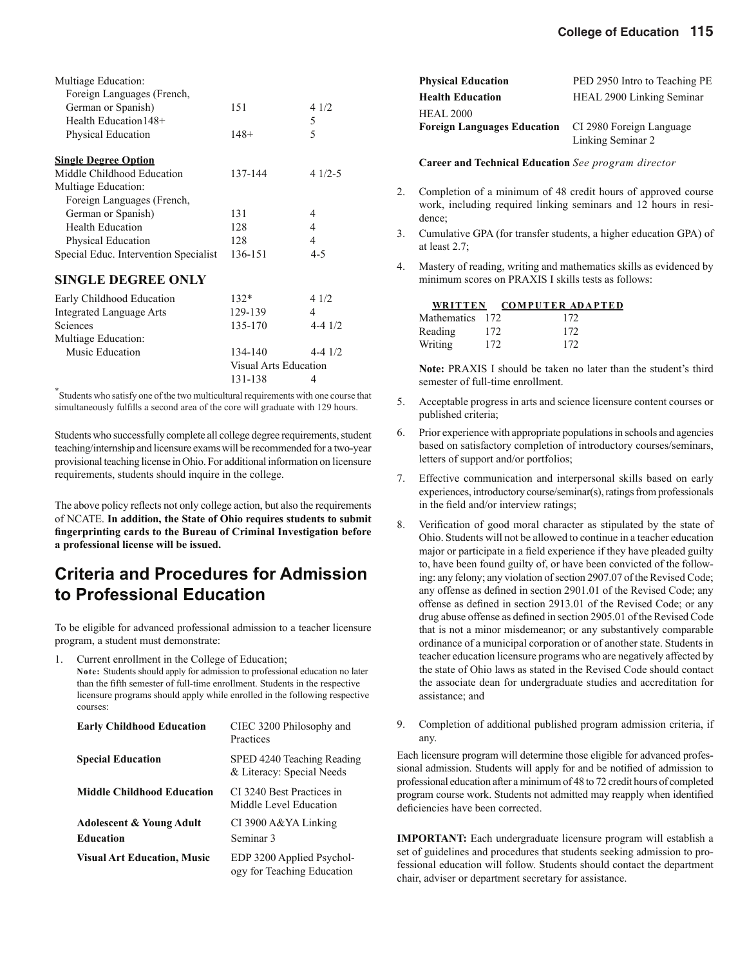| Multiage Education:                   |         |          |
|---------------------------------------|---------|----------|
| Foreign Languages (French,            |         |          |
| German or Spanish)                    | 151     | 4 1/2    |
| Health Education 148+                 |         | 5        |
| Physical Education                    | $148+$  | 5        |
| <b>Single Degree Option</b>           |         |          |
| Middle Childhood Education            | 137-144 | $41/2-5$ |
| Multiage Education:                   |         |          |
| Foreign Languages (French,            |         |          |
| German or Spanish)                    | 131     | 4        |
| <b>Health Education</b>               | 128     | 4        |
| Physical Education                    | 128     | 4        |
| Special Educ. Intervention Specialist | 136-151 | 4-5      |
| <b>SINGLE DEGREE ONLY</b>             |         |          |

| Early Childhood Education       | $132*$  | 41/2        |
|---------------------------------|---------|-------------|
| <b>Integrated Language Arts</b> | 129-139 | 4           |
| Sciences                        | 135-170 | $4 - 4$ 1/2 |
| Multiage Education:             |         |             |
| Music Education                 | 134-140 | $4 - 4$ 1/2 |
| <b>Visual Arts Education</b>    |         |             |
|                                 | 131-138 |             |

\* Students who satisfy one of the two multicultural requirements with one course that simultaneously fulfills a second area of the core will graduate with 129 hours.

Students who successfully complete all college degree requirements, student teaching/internship and licensure exams will be recommended for a two-year provisional teaching license in Ohio. For additional information on licensure requirements, students should inquire in the college.

The above policy reflects not only college action, but also the requirements of NCATE. **In addition, the State of Ohio requires students to submit fi ngerprinting cards to the Bureau of Criminal Investigation before a professional license will be issued.**

# **Criteria and Procedures for Admission to Professional Education**

To be eligible for advanced professional admission to a teacher licensure program, a student must demonstrate:

Current enrollment in the College of Education;

**Note:** Students should apply for admission to professional education no later than the fifth semester of full-time enrollment. Students in the respective licensure programs should apply while enrolled in the following respective courses:

| <b>Early Childhood Education</b>                        | CIEC 3200 Philosophy and<br>Practices                   |
|---------------------------------------------------------|---------------------------------------------------------|
| <b>Special Education</b>                                | SPED 4240 Teaching Reading<br>& Literacy: Special Needs |
| <b>Middle Childhood Education</b>                       | CI 3240 Best Practices in<br>Middle Level Education     |
| <b>Adolescent &amp; Young Adult</b><br><b>Education</b> | CI 3900 A&YA Linking<br>Seminar <sub>3</sub>            |
| <b>Visual Art Education, Music</b>                      | EDP 3200 Applied Psychol-<br>ogy for Teaching Education |

| <b>Physical Education</b>          | PED 2950 Intro to Teaching PE |
|------------------------------------|-------------------------------|
| <b>Health Education</b>            | HEAL 2900 Linking Seminar     |
| <b>HEAL 2000</b>                   |                               |
| <b>Foreign Languages Education</b> | CI 2980 Foreign Language      |
|                                    | Linking Seminar 2             |

**Career and Technical Education** *See program director*

- 2. Completion of a minimum of 48 credit hours of approved course work, including required linking seminars and 12 hours in residence;
- 3. Cumulative GPA (for transfer students, a higher education GPA) of at least 2.7;
- 4. Mastery of reading, writing and mathematics skills as evidenced by minimum scores on PRAXIS I skills tests as follows:

|                 |     | WRITTEN COMPUTER ADAPTED |
|-----------------|-----|--------------------------|
| Mathematics 172 |     | 172                      |
| Reading         | 172 | 172                      |
| Writing         | 172 | 172                      |

**Note:** PRAXIS I should be taken no later than the student's third semester of full-time enrollment.

- 5. Acceptable progress in arts and science licensure content courses or published criteria;
- 6. Prior experience with appropriate populations in schools and agencies based on satisfactory completion of introductory courses/seminars, letters of support and/or portfolios;
- 7. Effective communication and interpersonal skills based on early experiences, introductory course/seminar(s), ratings from professionals in the field and/or interview ratings;
- 8. Verification of good moral character as stipulated by the state of Ohio. Students will not be allowed to continue in a teacher education major or participate in a field experience if they have pleaded guilty to, have been found guilty of, or have been convicted of the following: any felony; any violation of section 2907.07 of the Revised Code; any offense as defined in section 2901.01 of the Revised Code; any offense as defined in section 2913.01 of the Revised Code; or any drug abuse offense as defined in section 2905.01 of the Revised Code that is not a minor misdemeanor; or any substantively comparable ordinance of a municipal corporation or of another state. Students in teacher education licensure programs who are negatively affected by the state of Ohio laws as stated in the Revised Code should contact the associate dean for undergraduate studies and accreditation for assistance; and
- 9. Completion of additional published program admission criteria, if any.

Each licensure program will determine those eligible for advanced professional admission. Students will apply for and be notified of admission to professional education after a minimum of 48 to 72 credit hours of completed program course work. Students not admitted may reapply when identified deficiencies have been corrected.

**IMPORTANT:** Each undergraduate licensure program will establish a set of guidelines and procedures that students seeking admission to professional education will follow. Students should contact the department chair, adviser or department secretary for assistance.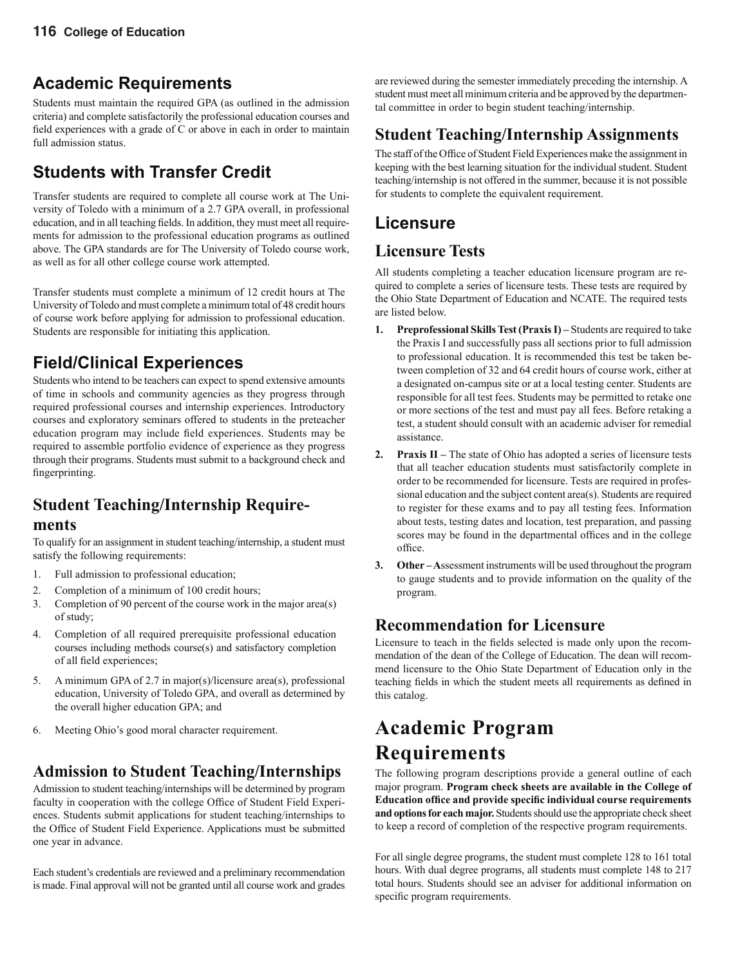# **Academic Requirements**

Students must maintain the required GPA (as outlined in the admission criteria) and complete satisfactorily the professional education courses and field experiences with a grade of  $C$  or above in each in order to maintain full admission status.

# **Students with Transfer Credit**

Transfer students are required to complete all course work at The University of Toledo with a minimum of a 2.7 GPA overall, in professional education, and in all teaching fields. In addition, they must meet all requirements for admission to the professional education programs as outlined above. The GPA standards are for The University of Toledo course work, as well as for all other college course work attempted.

Transfer students must complete a minimum of 12 credit hours at The University of Toledo and must complete a minimum total of 48 credit hours of course work before applying for admission to professional education. Students are responsible for initiating this application.

# **Field/Clinical Experiences**

Students who intend to be teachers can expect to spend extensive amounts of time in schools and community agencies as they progress through required professional courses and internship experiences. Introductory courses and exploratory seminars offered to students in the preteacher education program may include field experiences. Students may be required to assemble portfolio evidence of experience as they progress through their programs. Students must submit to a background check and fingerprinting.

# **Student Teaching/Internship Require-**

# **ments**

To qualify for an assignment in student teaching/internship, a student must satisfy the following requirements:

- 1. Full admission to professional education;
- 2. Completion of a minimum of 100 credit hours;
- 3. Completion of 90 percent of the course work in the major area(s) of study;
- 4. Completion of all required prerequisite professional education courses including methods course(s) and satisfactory completion of all field experiences;
- 5. A minimum GPA of 2.7 in major(s)/licensure area(s), professional education, University of Toledo GPA, and overall as determined by the overall higher education GPA; and
- 6. Meeting Ohio's good moral character requirement.

# **Admission to Student Teaching/Internships**

Admission to student teaching/internships will be determined by program faculty in cooperation with the college Office of Student Field Experiences. Students submit applications for student teaching/internships to the Office of Student Field Experience. Applications must be submitted one year in advance.

Each student's credentials are reviewed and a preliminary recommendation is made. Final approval will not be granted until all course work and grades are reviewed during the semester immediately preceding the internship. A student must meet all minimum criteria and be approved by the departmental committee in order to begin student teaching/internship.

# **Student Teaching/Internship Assignments**

The staff of the Office of Student Field Experiences make the assignment in keeping with the best learning situation for the individual student. Student teaching/internship is not offered in the summer, because it is not possible for students to complete the equivalent requirement.

# **Licensure**

# **Licensure Tests**

All students completing a teacher education licensure program are required to complete a series of licensure tests. These tests are required by the Ohio State Department of Education and NCATE. The required tests are listed below.

- **1. Preprofessional Skills Test (Praxis I)** Students are required to take the Praxis I and successfully pass all sections prior to full admission to professional education. It is recommended this test be taken between completion of 32 and 64 credit hours of course work, either at a designated on-campus site or at a local testing center. Students are responsible for all test fees. Students may be permitted to retake one or more sections of the test and must pay all fees. Before retaking a test, a student should consult with an academic adviser for remedial assistance.
- **2. Praxis II** The state of Ohio has adopted a series of licensure tests that all teacher education students must satisfactorily complete in order to be recommended for licensure. Tests are required in professional education and the subject content area(s). Students are required to register for these exams and to pay all testing fees. Information about tests, testing dates and location, test preparation, and passing scores may be found in the departmental offices and in the college office.
- **3. Other A**ssessment instruments will be used throughout the program to gauge students and to provide information on the quality of the program.

# **Recommendation for Licensure**

Licensure to teach in the fields selected is made only upon the recommendation of the dean of the College of Education. The dean will recommend licensure to the Ohio State Department of Education only in the teaching fields in which the student meets all requirements as defined in this catalog.

# **Academic Program Requirements**

The following program descriptions provide a general outline of each major program. **Program check sheets are available in the College of Education office and provide specific individual course requirements and options for each major.** Students should use the appropriate check sheet to keep a record of completion of the respective program requirements.

For all single degree programs, the student must complete 128 to 161 total hours. With dual degree programs, all students must complete 148 to 217 total hours. Students should see an adviser for additional information on specific program requirements.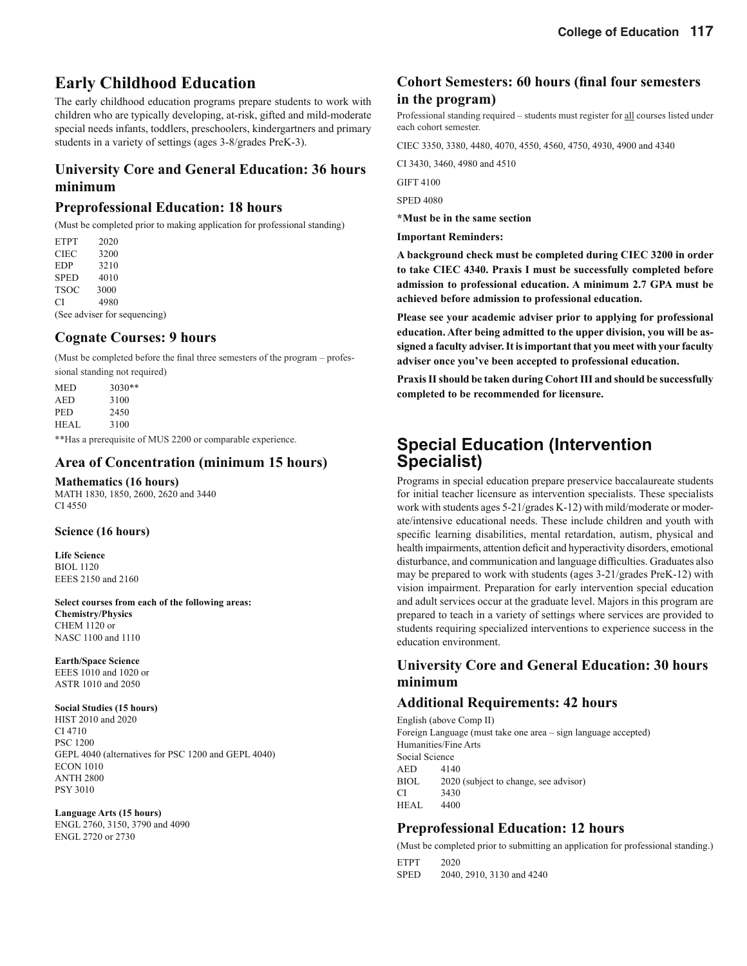# **Early Childhood Education**

The early childhood education programs prepare students to work with children who are typically developing, at-risk, gifted and mild-moderate special needs infants, toddlers, preschoolers, kindergartners and primary students in a variety of settings (ages 3-8/grades PreK-3).

## **University Core and General Education: 36 hours minimum**

### **Preprofessional Education: 18 hours**

(Must be completed prior to making application for professional standing)

ETPT 2020 CIEC 3200 EDP 3210 SPED 4010 TSOC 3000 CI 4980

(See adviser for sequencing)

### **Cognate Courses: 9 hours**

(Must be completed before the final three semesters of the program – professional standing not required)

| MED   | $3030**$                                           |  |
|-------|----------------------------------------------------|--|
|       |                                                    |  |
| AED   | 3100                                               |  |
| PED   | 2450                                               |  |
| HEAL. | 3100                                               |  |
|       | **Has a prerequisite of MHS 2200 or comparable evr |  |

Has a prerequisite of MUS 2200 or comparable experience.

### **Area of Concentration (minimum 15 hours)**

**Mathematics (16 hours)**

MATH 1830, 1850, 2600, 2620 and 3440 CI 4550

#### **Science (16 hours)**

**Life Science** BIOL 1120 EEES 2150 and 2160

**Select courses from each of the following areas: Chemistry/Physics** CHEM 1120 or NASC 1100 and 1110

#### **Earth/Space Science**

EEES 1010 and 1020 or ASTR 1010 and 2050

#### **Social Studies (15 hours)**

HIST 2010 and 2020 CI 4710 PSC 1200 GEPL 4040 (alternatives for PSC 1200 and GEPL 4040) ECON 1010 ANTH 2800 PSY 3010

#### **Language Arts (15 hours)**

ENGL 2760, 3150, 3790 and 4090 ENGL 2720 or 2730

# **Cohort Semesters: 60 hours (final four semesters in the program)**

Professional standing required – students must register for all courses listed under each cohort semester.

CIEC 3350, 3380, 4480, 4070, 4550, 4560, 4750, 4930, 4900 and 4340

CI 3430, 3460, 4980 and 4510

GIFT 4100

SPED 4080

**\*Must be in the same section**

**Important Reminders:**

**A background check must be completed during CIEC 3200 in order to take CIEC 4340. Praxis I must be successfully completed before admission to professional education. A minimum 2.7 GPA must be achieved before admission to professional education.**

**Please see your academic adviser prior to applying for professional education. After being admitted to the upper division, you will be assigned a faculty adviser. It is important that you meet with your faculty adviser once you've been accepted to professional education.**

**Praxis II should be taken during Cohort III and should be successfully completed to be recommended for licensure.**

# **Special Education (Intervention Specialist)**

Programs in special education prepare preservice baccalaureate students for initial teacher licensure as intervention specialists. These specialists work with students ages 5-21/grades K-12) with mild/moderate or moderate/intensive educational needs. These include children and youth with specific learning disabilities, mental retardation, autism, physical and health impairments, attention deficit and hyperactivity disorders, emotional disturbance, and communication and language difficulties. Graduates also may be prepared to work with students (ages 3-21/grades PreK-12) with vision impairment. Preparation for early intervention special education and adult services occur at the graduate level. Majors in this program are prepared to teach in a variety of settings where services are provided to students requiring specialized interventions to experience success in the education environment.

# **University Core and General Education: 30 hours minimum**

### **Additional Requirements: 42 hours**

English (above Comp II) Foreign Language (must take one area – sign language accepted) Humanities/Fine Arts Social Science AED 4140 BIOL 2020 (subject to change, see advisor) CI 3430 HEAL 4400

### **Preprofessional Education: 12 hours**

(Must be completed prior to submitting an application for professional standing.)

ETPT 2020

SPED 2040, 2910, 3130 and 4240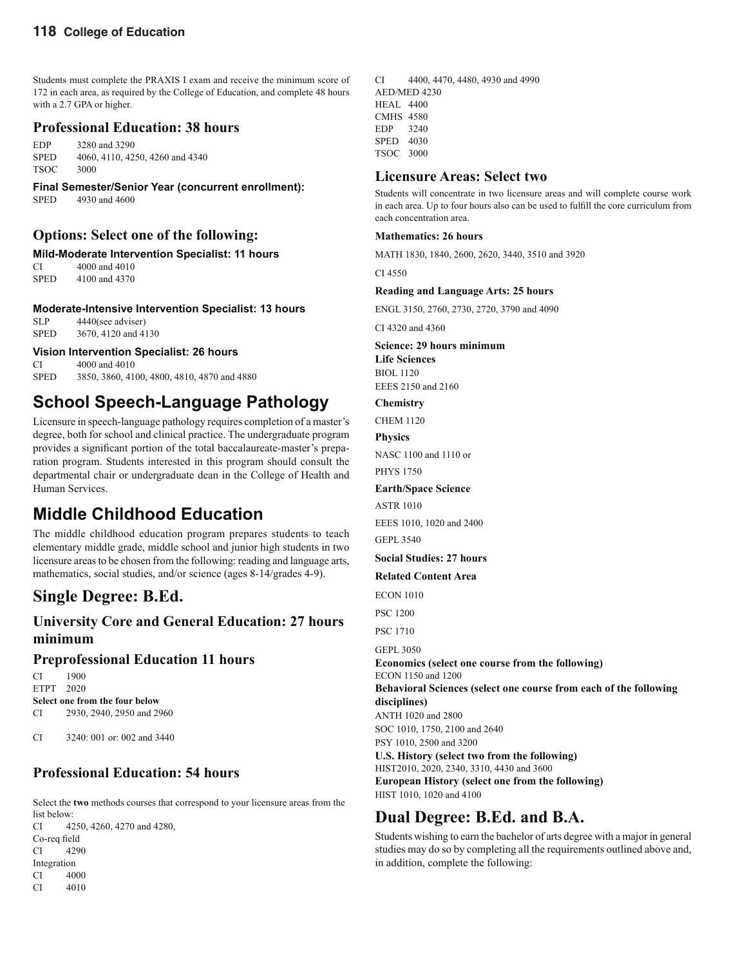Students must complete the PRAXIS I exam and receive the minimum score of 172 in each area, as required by the College of Education, and complete 48 hours with a 2.7 GPA or higher.

## **Professional Education: 38 hours**

EDP 3280 and 3290 SPED 4060, 4110, 4250, 4260 and 4340 TSOC 3000

**Final Semester/Senior Year (concurrent enrollment):** SPED 4930 and 4600

## **Options: Select one of the following:**

**Mild-Moderate Intervention Specialist: 11 hours** 

CI 4000 and 4010 SPED 4100 and 4370

#### **Moderate-Intensive Intervention Specialist: 13 hours**

SLP 4440(see adviser) SPED 3670, 4120 and 4130

**Vision Intervention Specialist: 26 hours**

CI 4000 and 4010 SPED 3850, 3860, 4100, 4800, 4810, 4870 and 4880

# **School Speech-Language Pathology**

Licensure in speech-language pathology requires completion of a master's degree, both for school and clinical practice. The undergraduate program provides a significant portion of the total baccalaureate-master's preparation program. Students interested in this program should consult the departmental chair or undergraduate dean in the College of Health and Human Services.

# **Middle Childhood Education**

The middle childhood education program prepares students to teach elementary middle grade, middle school and junior high students in two licensure areas to be chosen from the following: reading and language arts, mathematics, social studies, and/or science (ages 8-14/grades 4-9).

# **Single Degree: B.Ed.**

# **University Core and General Education: 27 hours minimum**

# **Preprofessional Education 11 hours**

CI 1900 ETPT 2020 **Select one from the four below** CI 2930, 2940, 2950 and 2960

CI 3240: 001 or: 002 and 3440

# **Professional Education: 54 hours**

Select the **two** methods courses that correspond to your licensure areas from the list below: CI 4250, 4260, 4270 and 4280, Co-req field CI 4290 Integration CI 4000

CI 4010

CI 4400, 4470, 4480, 4930 and 4990 AED/MED 4230 HEAL 4400 CMHS 4580 EDP 3240 SPED 4030 TSOC 3000

### **Licensure Areas: Select two**

Students will concentrate in two licensure areas and will complete course work in each area. Up to four hours also can be used to fulfill the core curriculum from each concentration area.

#### **Mathematics: 26 hours**

MATH 1830, 1840, 2600, 2620, 3440, 3510 and 3920

CI 4550

#### **Reading and Language Arts: 25 hours**

ENGL 3150, 2760, 2730, 2720, 3790 and 4090

CI 4320 and 4360

**Science: 29 hours minimum Life Sciences** BIOL 1120

EEES 2150 and 2160 **Chemistry**

CHEM 1120

# **Physics**

NASC 1100 and 1110 or

PHYS 1750

### **Earth/Space Science**

ASTR 1010

EEES 1010, 1020 and 2400

GEPL 3540

### **Social Studies: 27 hours**

#### **Related Content Area**

ECON 1010

PSC 1200

PSC 1710

GEPL 3050

**Economics (select one course from the following)** ECON 1150 and 1200 **Behavioral Sciences (select one course from each of the following disciplines)** ANTH 1020 and 2800 SOC 1010, 1750, 2100 and 2640 PSY 1010, 2500 and 3200 **U.S. History (select two from the following)** HIST 2010, 2020, 2340, 3310, 4430 and 3600

**European History (select one from the following)** HIST 1010, 1020 and 4100

# **Dual Degree: B.Ed. and B.A.**

Students wishing to earn the bachelor of arts degree with a major in general studies may do so by completing all the requirements outlined above and, in addition, complete the following: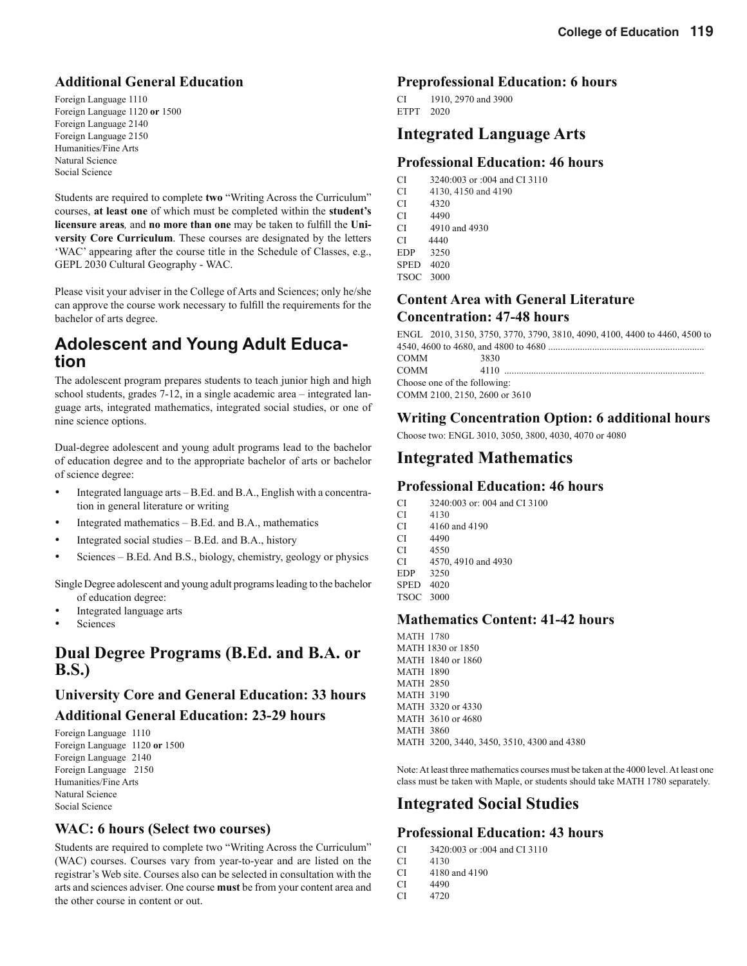# **Additional General Education**

Foreign Language 1110 Foreign Language 1120 **or** 1500 Foreign Language 2140 Foreign Language 2150 Humanities/Fine Arts Natural Science Social Science

Students are required to complete **two** "Writing Across the Curriculum" courses, **at least one** of which must be completed within the **student's licensure areas**, and **no more than one** may be taken to fulfill the Uni**versity Core Curriculum**. These courses are designated by the letters 'WAC' appearing after the course title in the Schedule of Classes, e.g., GEPL 2030 Cultural Geography - WAC.

Please visit your adviser in the College of Arts and Sciences; only he/she can approve the course work necessary to fulfill the requirements for the bachelor of arts degree.

# **Adolescent and Young Adult Education**

The adolescent program prepares students to teach junior high and high school students, grades 7-12, in a single academic area – integrated language arts, integrated mathematics, integrated social studies, or one of nine science options.

Dual-degree adolescent and young adult programs lead to the bachelor of education degree and to the appropriate bachelor of arts or bachelor of science degree:

- Integrated language arts B.Ed. and B.A., English with a concentration in general literature or writing
- Integrated mathematics B.Ed. and B.A., mathematics
- Integrated social studies B.Ed. and B.A., history
- Sciences B.Ed. And B.S., biology, chemistry, geology or physics

Single Degree adolescent and young adult programs leading to the bachelor of education degree:

- Integrated language arts
- **Sciences**

# **Dual Degree Programs (B.Ed. and B.A. or B.S.)**

### **University Core and General Education: 33 hours**

### **Additional General Education: 23-29 hours**

Foreign Language 1110 Foreign Language 1120 **or** 1500 Foreign Language 2140 Foreign Language 2150 Humanities/Fine Arts Natural Science Social Science

### **WAC: 6 hours (Select two courses)**

Students are required to complete two "Writing Across the Curriculum" (WAC) courses. Courses vary from year-to-year and are listed on the registrar's Web site. Courses also can be selected in consultation with the arts and sciences adviser. One course **must** be from your content area and the other course in content or out.

### **Preprofessional Education: 6 hours**

CI 1910, 2970 and 3900 ETPT 2020

# **Integrated Language Arts**

### **Professional Education: 46 hours**

- CI 3240:003 or :004 and CI 3110
- CI 4130, 4150 and 4190
- CI 4320
- CI 4490
- CI  $4910$  and  $4930$ <br>CI  $4440$ CI 4440
- EDP 3250
- SPED 4020
- TSOC 3000

## **Content Area with General Literature Concentration: 47-48 hours**

|                               | ENGL 2010, 3150, 3750, 3770, 3790, 3810, 4090, 4100, 4400 to 4460, 4500 to |  |
|-------------------------------|----------------------------------------------------------------------------|--|
|                               |                                                                            |  |
| COMM                          | 3830                                                                       |  |
| COMM                          | 4110                                                                       |  |
| Choose one of the following:  |                                                                            |  |
| COMM 2100, 2150, 2600 or 3610 |                                                                            |  |
|                               |                                                                            |  |

# **Writing Concentration Option: 6 additional hours**

Choose two: ENGL 3010, 3050, 3800, 4030, 4070 or 4080

# **Integrated Mathematics**

### **Professional Education: 46 hours**

- CI 3240:003 or: 004 and CI 3100
- CI 4130 CI 4160 and 4190
- CI 4490
- 
- CI 4550<br>CI 4570 CI 4570, 4910 and 4930
- EDP 3250
- SPED 4020
- TSOC 3000

# **Mathematics Content: 41-42 hours**

MATH 1780 MATH 1830 or 1850 MATH 1840 or 1860 MATH 1890 MATH 2850 MATH 3190 MATH 3320 or 4330 MATH 3610 or 4680 MATH 3860 MATH 3200, 3440, 3450, 3510, 4300 and 4380

Note: At least three mathematics courses must be taken at the 4000 level. At least one class must be taken with Maple, or students should take MATH 1780 separately.

# **Integrated Social Studies**

# **Professional Education: 43 hours**

- CI 3420:003 or :004 and CI 3110<br>CI 4130
- CI 4130
- CI 4180 and 4190
- CI 4490
- CI 4720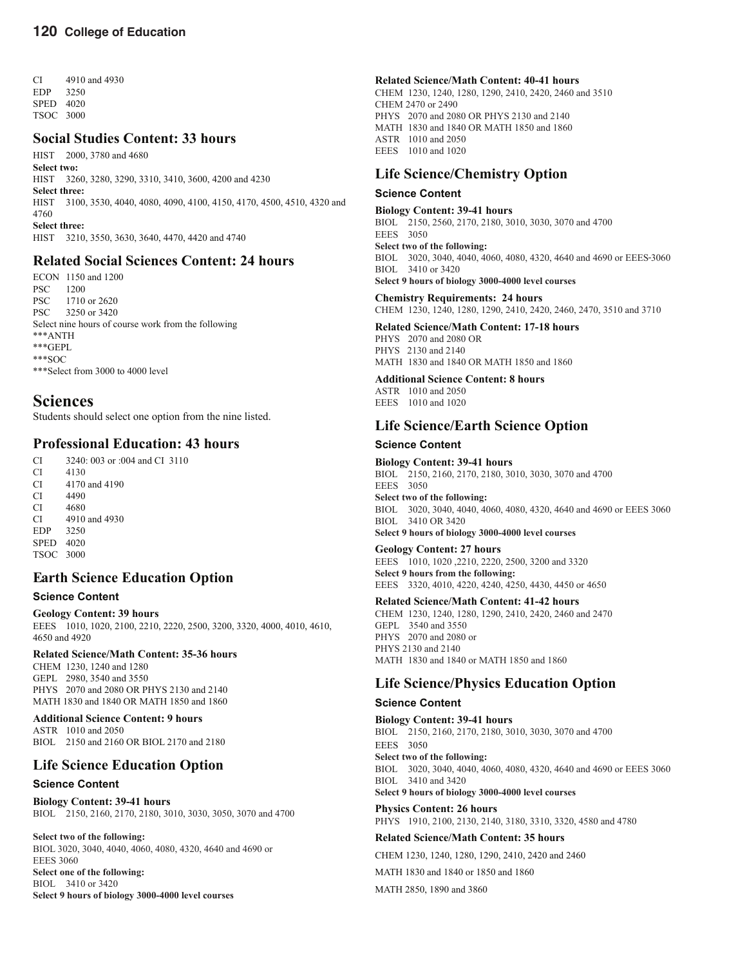CI 4910 and 4930 EDP 3250 SPED 4020 TSOC 3000

# **Social Studies Content: 33 hours**

HIST 2000, 3780 and 4680 **Select two:**  HIST 3260, 3280, 3290, 3310, 3410, 3600, 4200 and 4230 **Select three:**  HIST 3100, 3530, 4040, 4080, 4090, 4100, 4150, 4170, 4500, 4510, 4320 and 4760 **Select three:** HIST 3210, 3550, 3630, 3640, 4470, 4420 and 4740

### **Related Social Sciences Content: 24 hours**

ECON 1150 and 1200 PSC 1200<br>PSC 1710 1710 or 2620 PSC 3250 or 3420 Select nine hours of course work from the following \*\*\*ANTH \*\*\*GEPL \*\*\*SOC \*\*\*Select from 3000 to 4000 level

# **Sciences**

Students should select one option from the nine listed.

## **Professional Education: 43 hours**

CI 3240: 003 or :004 and CI 3110

CI 4130<br>CI 4170 CI 4170 and 4190

CI 4490

CI 4680

- CI 4910 and 4930
- EDP 3250 SPED 4020

TSOC 3000

# **Earth Science Education Option**

### **Science Content**

**Geology Content: 39 hours** EEES 1010, 1020, 2100, 2210, 2220, 2500, 3200, 3320, 4000, 4010, 4610, 4650 and 4920

#### **Related Science/Math Content: 35-36 hours**

CHEM 1230, 1240 and 1280 GEPL 2980, 3540 and 3550 PHYS 2070 and 2080 OR PHYS 2130 and 2140 MATH 1830 and 1840 OR MATH 1850 and 1860

**Additional Science Content: 9 hours** ASTR 1010 and 2050 BIOL 2150 and 2160 OR BIOL 2170 and 2180

# **Life Science Education Option**

#### **Science Content**

**Biology Content: 39-41 hours** BIOL 2150, 2160, 2170, 2180, 3010, 3030, 3050, 3070 and 4700

**Select two of the following:** BIOL 3020, 3040, 4040, 4060, 4080, 4320, 4640 and 4690 or EEES 3060 **Select one of the following:** BIOL 3410 or 3420 **Select 9 hours of biology 3000-4000 level courses**

#### **Related Science/Math Content: 40-41 hours** CHEM 1230, 1240, 1280, 1290, 2410, 2420, 2460 and 3510 CHEM 2470 or 2490 PHYS 2070 and 2080 OR PHYS 2130 and 2140

MATH 1830 and 1840 OR MATH 1850 and 1860 ASTR 1010 and 2050 EEES 1010 and 1020

## **Life Science/Chemistry Option**

#### **Science Content**

#### **Biology Content: 39-41 hours**

BIOL 2150, 2560, 2170, 2180, 3010, 3030, 3070 and 4700 EEES 3050 **Select two of the following:**  BIOL 3020, 3040, 4040, 4060, 4080, 4320, 4640 and 4690 or EEES 3060 BIOL 3410 or 3420 **Select 9 hours of biology 3000-4000 level courses**

#### **Chemistry Requirements: 24 hours**

CHEM 1230, 1240, 1280, 1290, 2410, 2420, 2460, 2470, 3510 and 3710

### **Related Science/Math Content: 17-18 hours**

PHYS 2070 and 2080 OR PHYS 2130 and 2140 MATH 1830 and 1840 OR MATH 1850 and 1860

### **Additional Science Content: 8 hours**

ASTR 1010 and 2050 EEES 1010 and 1020

# **Life Science/Earth Science Option**

### **Science Content**

**Biology Content: 39-41 hours**

BIOL 2150, 2160, 2170, 2180, 3010, 3030, 3070 and 4700 EEES 3050 **Select two of the following:** BIOL 3020, 3040, 4040, 4060, 4080, 4320, 4640 and 4690 or EEES 3060 BIOL 3410 OR 3420 **Select 9 hours of biology 3000-4000 level courses**

#### **Geology Content: 27 hours**

EEES 1010, 1020 ,2210, 2220, 2500, 3200 and 3320 **Select 9 hours from the following:** EEES 3320, 4010, 4220, 4240, 4250, 4430, 4450 or 4650

#### **Related Science/Math Content: 41-42 hours**

CHEM 1230, 1240, 1280, 1290, 2410, 2420, 2460 and 2470 GEPL 3540 and 3550 PHYS 2070 and 2080 or PHYS 2130 and 2140 MATH 1830 and 1840 or MATH 1850 and 1860

### **Life Science/Physics Education Option**

### **Science Content**

**Biology Content: 39-41 hours**  BIOL 2150, 2160, 2170, 2180, 3010, 3030, 3070 and 4700 EEES 3050 **Select two of the following:** BIOL 3020, 3040, 4040, 4060, 4080, 4320, 4640 and 4690 or EEES 3060 BIOL 3410 and 3420 **Select 9 hours of biology 3000-4000 level courses**

**Physics Content: 26 hours** PHYS 1910, 2100, 2130, 2140, 3180, 3310, 3320, 4580 and 4780

**Related Science/Math Content: 35 hours**

CHEM 1230, 1240, 1280, 1290, 2410, 2420 and 2460

MATH 1830 and 1840 or 1850 and 1860

MATH 2850, 1890 and 3860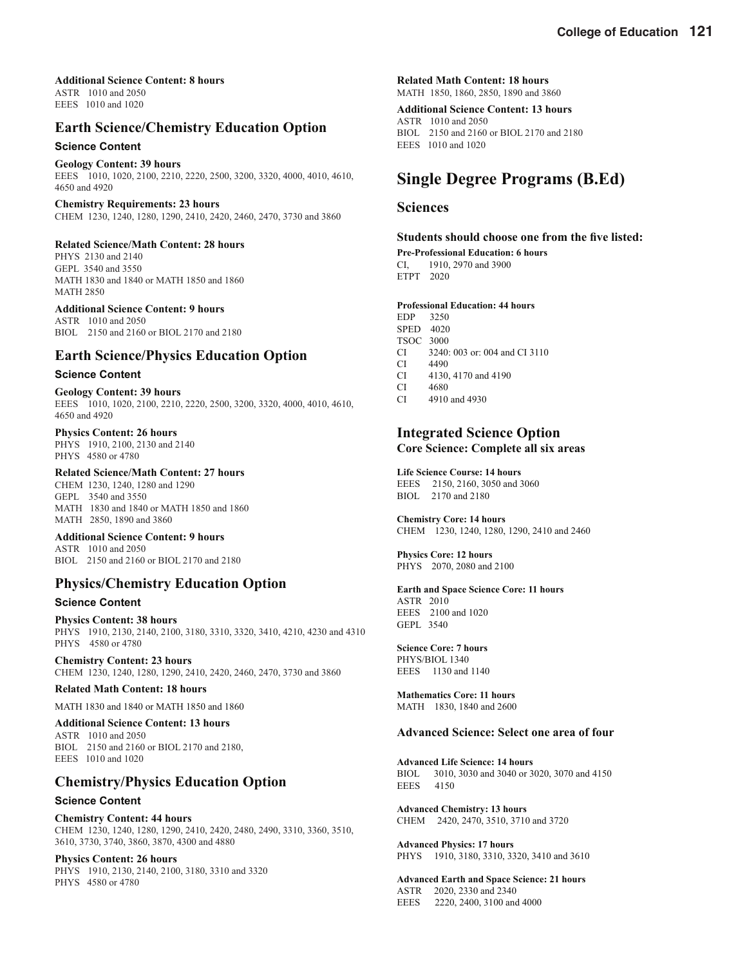**Additional Science Content: 8 hours** ASTR 1010 and 2050 EEES 1010 and 1020

## **Earth Science/Chemistry Education Option**

#### **Science Content**

#### **Geology Content: 39 hours**

EEES 1010, 1020, 2100, 2210, 2220, 2500, 3200, 3320, 4000, 4010, 4610, 4650 and 4920

**Chemistry Requirements: 23 hours** CHEM 1230, 1240, 1280, 1290, 2410, 2420, 2460, 2470, 3730 and 3860

#### **Related Science/Math Content: 28 hours**

PHYS 2130 and 2140 GEPL 3540 and 3550 MATH 1830 and 1840 or MATH 1850 and 1860 MATH 2850

#### **Additional Science Content: 9 hours**

ASTR 1010 and 2050 BIOL 2150 and 2160 or BIOL 2170 and 2180

### **Earth Science/Physics Education Option**

#### **Science Content**

**Geology Content: 39 hours** EEES 1010, 1020, 2100, 2210, 2220, 2500, 3200, 3320, 4000, 4010, 4610, 4650 and 4920

#### **Physics Content: 26 hours**

PHYS 1910, 2100, 2130 and 2140 PHYS 4580 or 4780

#### **Related Science/Math Content: 27 hours**

CHEM 1230, 1240, 1280 and 1290 GEPL 3540 and 3550 MATH 1830 and 1840 or MATH 1850 and 1860 MATH 2850, 1890 and 3860

#### **Additional Science Content: 9 hours**

ASTR 1010 and 2050 BIOL 2150 and 2160 or BIOL 2170 and 2180

### **Physics/Chemistry Education Option**

#### **Science Content**

**Physics Content: 38 hours** PHYS 1910, 2130, 2140, 2100, 3180, 3310, 3320, 3410, 4210, 4230 and 4310 PHYS 4580 or 4780

**Chemistry Content: 23 hours** CHEM 1230, 1240, 1280, 1290, 2410, 2420, 2460, 2470, 3730 and 3860

#### **Related Math Content: 18 hours**

MATH 1830 and 1840 or MATH 1850 and 1860

#### **Additional Science Content: 13 hours**

ASTR 1010 and 2050 BIOL 2150 and 2160 or BIOL 2170 and 2180, EEES 1010 and 1020

### **Chemistry/Physics Education Option**

#### **Science Content**

**Chemistry Content: 44 hours** CHEM 1230, 1240, 1280, 1290, 2410, 2420, 2480, 2490, 3310, 3360, 3510, 3610, 3730, 3740, 3860, 3870, 4300 and 4880

#### **Physics Content: 26 hours**

PHYS 1910, 2130, 2140, 2100, 3180, 3310 and 3320 PHYS 4580 or 4780

**Related Math Content: 18 hours** MATH 1850, 1860, 2850, 1890 and 3860

**Additional Science Content: 13 hours** ASTR 1010 and 2050 BIOL 2150 and 2160 or BIOL 2170 and 2180 EEES 1010 and 1020

# **Single Degree Programs (B.Ed)**

### **Sciences**

#### **Students should choose one from the five listed:**

**Pre-Professional Education: 6 hours** CI, 1910, 2970 and 3900 ETPT 2020

#### **Professional Education: 44 hours**

- EDP 3250 SPED 4020 TSOC 3000 CI 3240: 003 or: 004 and CI 3110 CI 4490 CI 4130, 4170 and 4190 CI 4680
- CI 4910 and 4930

### **Integrated Science Option Core Science: Complete all six areas**

**Life Science Course: 14 hours**

EEES 2150, 2160, 3050 and 3060 BIOL 2170 and 2180

**Chemistry Core: 14 hours** CHEM 1230, 1240, 1280, 1290, 2410 and 2460

**Physics Core: 12 hours** PHYS 2070, 2080 and 2100

#### **Earth and Space Science Core: 11 hours** ASTR 2010

EEES 2100 and 1020 GEPL 3540

### **Science Core: 7 hours**

PHYS/BIOL 1340 EEES 1130 and 1140

**Mathematics Core: 11 hours** MATH 1830, 1840 and 2600

#### **Advanced Science: Select one area of four**

**Advanced Life Science: 14 hours** BIOL 3010, 3030 and 3040 or 3020, 3070 and 4150 EEES 4150

**Advanced Chemistry: 13 hours** CHEM 2420, 2470, 3510, 3710 and 3720

**Advanced Physics: 17 hours** PHYS 1910, 3180, 3310, 3320, 3410 and 3610

**Advanced Earth and Space Science: 21 hours** ASTR 2020, 2330 and 2340 EEES 2220, 2400, 3100 and 4000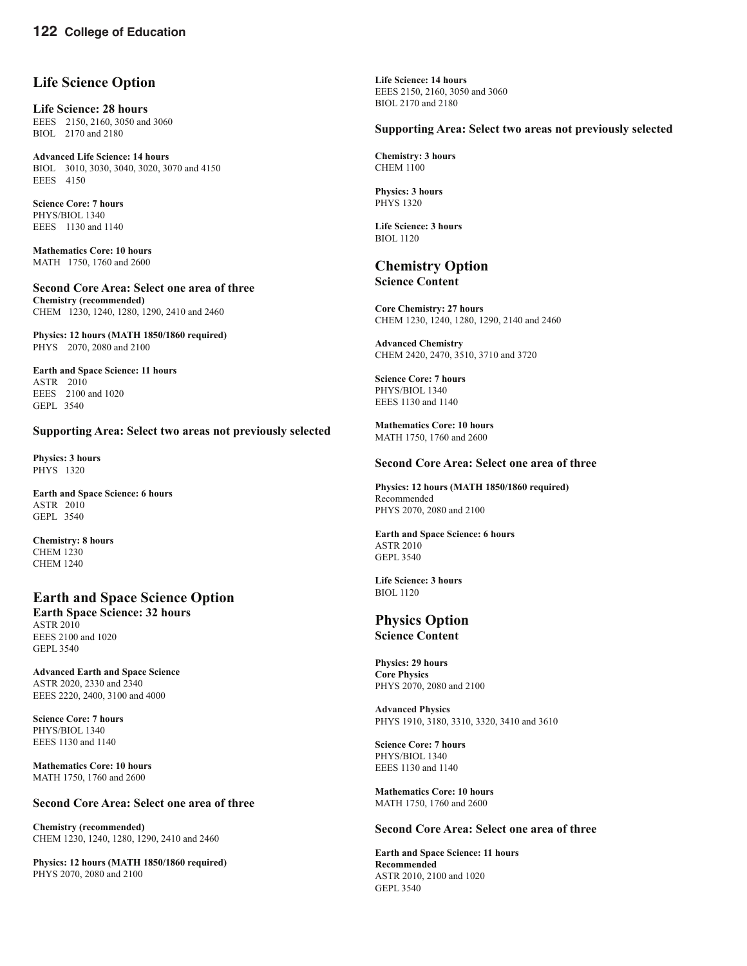### **Life Science Option**

**Life Science: 28 hours** EEES 2150, 2160, 3050 and 3060 BIOL 2170 and 2180

**Advanced Life Science: 14 hours** BIOL 3010, 3030, 3040, 3020, 3070 and 4150 EEES 4150

**Science Core: 7 hours** PHYS/BIOL 1340 EEES 1130 and 1140

**Mathematics Core: 10 hours** MATH 1750, 1760 and 2600

**Second Core Area: Select one area of three Chemistry (recommended)** CHEM 1230, 1240, 1280, 1290, 2410 and 2460

**Physics: 12 hours (MATH 1850/1860 required)** PHYS 2070, 2080 and 2100

**Earth and Space Science: 11 hours** ASTR 2010 EEES 2100 and 1020 GEPL 3540

#### **Supporting Area: Select two areas not previously selected**

**Physics: 3 hours** PHYS 1320

**Earth and Space Science: 6 hours** ASTR 2010 GEPL 3540

**Chemistry: 8 hours** CHEM 1230 CHEM 1240

# **Earth and Space Science Option**

**Earth Space Science: 32 hours** ASTR 2010 EEES 2100 and 1020 GEPL 3540

**Advanced Earth and Space Science** ASTR 2020, 2330 and 2340 EEES 2220, 2400, 3100 and 4000

**Science Core: 7 hours** PHYS/BIOL 1340 EEES 1130 and 1140

**Mathematics Core: 10 hours** MATH 1750, 1760 and 2600

#### **Second Core Area: Select one area of three**

**Chemistry (recommended)** CHEM 1230, 1240, 1280, 1290, 2410 and 2460

**Physics: 12 hours (MATH 1850/1860 required)** PHYS 2070, 2080 and 2100

**Life Science: 14 hours** EEES 2150, 2160, 3050 and 3060 BIOL 2170 and 2180

#### **Supporting Area: Select two areas not previously selected**

**Chemistry: 3 hours** CHEM 1100

**Physics: 3 hours** PHYS 1320

**Life Science: 3 hours** BIOL 1120

### **Chemistry Option Science Content**

**Core Chemistry: 27 hours** CHEM 1230, 1240, 1280, 1290, 2140 and 2460

**Advanced Chemistry** CHEM 2420, 2470, 3510, 3710 and 3720

**Science Core: 7 hours** PHYS/BIOL 1340 EEES 1130 and 1140

**Mathematics Core: 10 hours** MATH 1750, 1760 and 2600

#### **Second Core Area: Select one area of three**

**Physics: 12 hours (MATH 1850/1860 required)** Recommended PHYS 2070, 2080 and 2100

#### **Earth and Space Science: 6 hours** ASTR 2010 GEPL 3540

**Life Science: 3 hours** BIOL 1120

#### **Physics Option Science Content**

**Physics: 29 hours Core Physics** PHYS 2070, 2080 and 2100

**Advanced Physics** PHYS 1910, 3180, 3310, 3320, 3410 and 3610

**Science Core: 7 hours** PHYS/BIOL 1340 EEES 1130 and 1140

**Mathematics Core: 10 hours** MATH 1750, 1760 and 2600

#### **Second Core Area: Select one area of three**

**Earth and Space Science: 11 hours Recommended** ASTR 2010, 2100 and 1020 GEPL 3540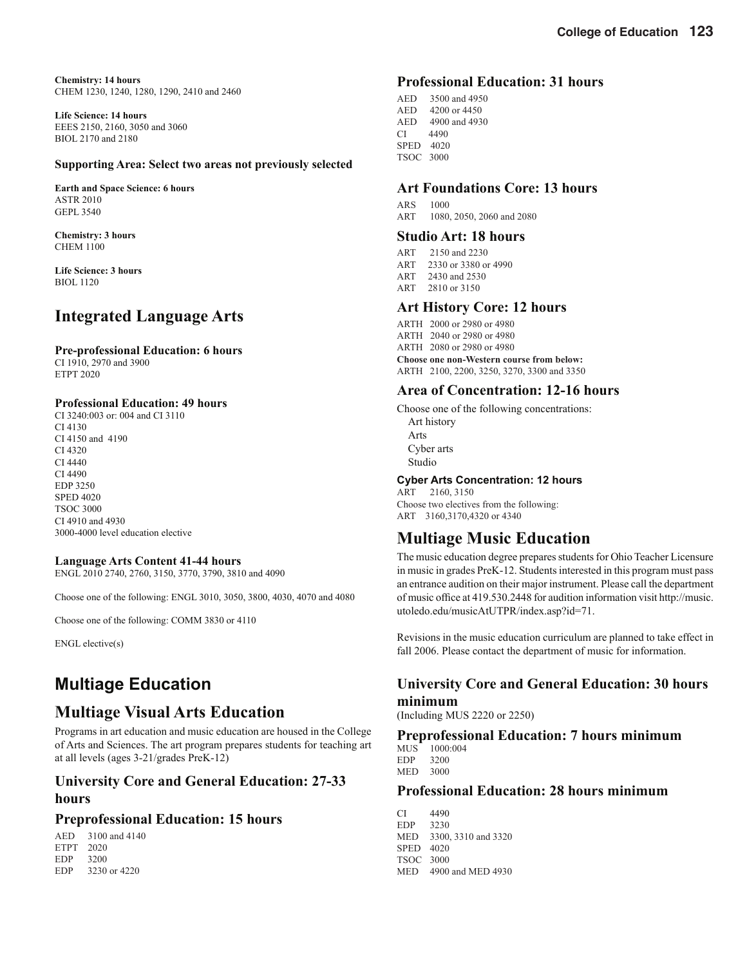**Chemistry: 14 hours** CHEM 1230, 1240, 1280, 1290, 2410 and 2460

**Life Science: 14 hours** EEES 2150, 2160, 3050 and 3060 BIOL 2170 and 2180

#### **Supporting Area: Select two areas not previously selected**

**Earth and Space Science: 6 hours** ASTR 2010 GEPL 3540

**Chemistry: 3 hours** CHEM 1100

**Life Science: 3 hours BIOL 1120** 

# **Integrated Language Arts**

# **Pre-professional Education: 6 hours**

CI 1910, 2970 and 3900 ETPT 2020

#### **Professional Education: 49 hours**

CI 3240:003 or: 004 and CI 3110 CI 4130 CI 4150 and 4190 CI 4320 CI 4440 CI 4490 EDP 3250 SPED 4020 TSOC 3000 CI 4910 and 4930 3000-4000 level education elective

#### **Language Arts Content 41-44 hours**

ENGL 2010 2740, 2760, 3150, 3770, 3790, 3810 and 4090

Choose one of the following: ENGL 3010, 3050, 3800, 4030, 4070 and 4080

Choose one of the following: COMM 3830 or 4110

ENGL elective(s)

# **Multiage Education**

# **Multiage Visual Arts Education**

Programs in art education and music education are housed in the College of Arts and Sciences. The art program prepares students for teaching art at all levels (ages 3-21/grades PreK-12)

# **University Core and General Education: 27-33 hours**

### **Preprofessional Education: 15 hours**

AED 3100 and 4140 ETPT 2020 EDP 3200 EDP 3230 or 4220

### **Professional Education: 31 hours**

AED 3500 and 4950 AED 4200 or 4450 AED 4900 and 4930 CI 4490 SPED 4020 TSOC 3000

### **Art Foundations Core: 13 hours**

ARS 1000 ART 1080, 2050, 2060 and 2080

# **Studio Art: 18 hours**

- ART 2150 and 2230
- ART 2330 or 3380 or 4990
- ART 2430 and 2530<br>ART 2810 or 3150
- 2810 or 3150

### **Art History Core: 12 hours**

ARTH 2000 or 2980 or 4980 ARTH 2040 or 2980 or 4980 ARTH 2080 or 2980 or 4980 **Choose one non-Western course from below:** ARTH 2100, 2200, 3250, 3270, 3300 and 3350

### **Area of Concentration: 12-16 hours**

Choose one of the following concentrations: Art history Arts Cyber arts Studio

#### **Cyber Arts Concentration: 12 hours**

ART 2160, 3150 Choose two electives from the following: ART 3160,3170,4320 or 4340

# **Multiage Music Education**

The music education degree prepares students for Ohio Teacher Licensure in music in grades PreK-12. Students interested in this program must pass an entrance audition on their major instrument. Please call the department of music office at 419.530.2448 for audition information visit http://music. utoledo.edu/musicAtUTPR/index.asp?id=71.

Revisions in the music education curriculum are planned to take effect in fall 2006. Please contact the department of music for information.

## **University Core and General Education: 30 hours minimum**

(Including MUS 2220 or 2250)

### **Preprofessional Education: 7 hours minimum**

MUS 1000:004 EDP 3200 MED 3000

## **Professional Education: 28 hours minimum**

CI 4490 EDP 3230 MED 3300, 3310 and 3320 SPED 4020 TSOC 3000 MED 4900 and MED 4930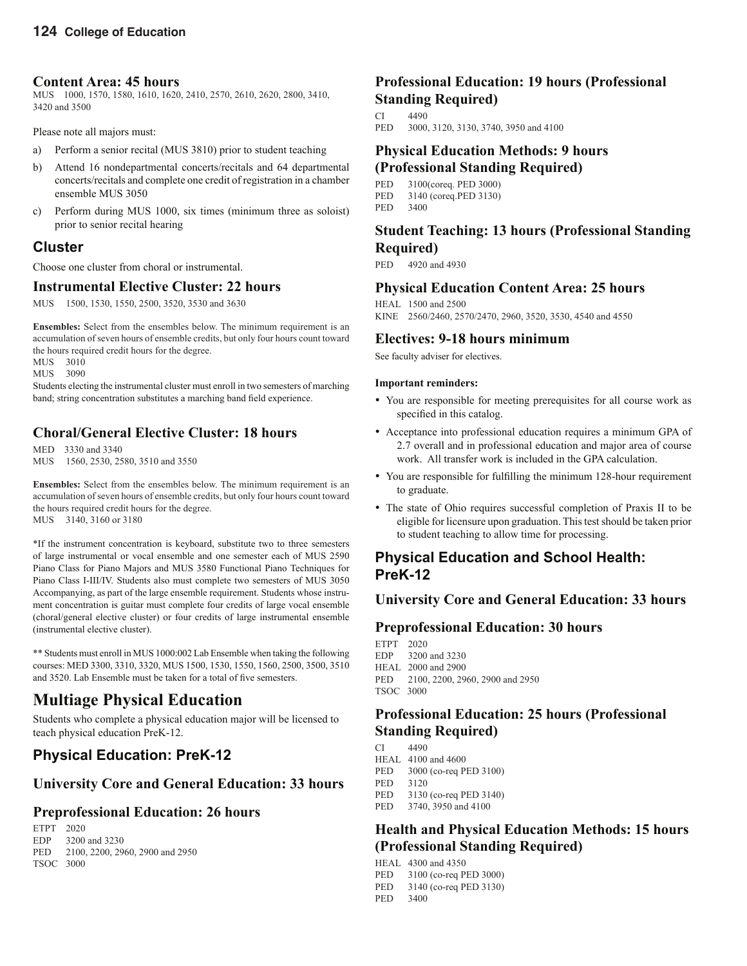### **Content Area: 45 hours**

MUS 1000, 1570, 1580, 1610, 1620, 2410, 2570, 2610, 2620, 2800, 3410, 3420 and 3500

Please note all majors must:

- a) Perform a senior recital (MUS 3810) prior to student teaching
- b) Attend 16 nondepartmental concerts/recitals and 64 departmental concerts/recitals and complete one credit of registration in a chamber ensemble MUS 3050
- c) Perform during MUS 1000, six times (minimum three as soloist) prior to senior recital hearing

# **Cluster**

Choose one cluster from choral or instrumental.

# **Instrumental Elective Cluster: 22 hours**

MUS 1500, 1530, 1550, 2500, 3520, 3530 and 3630

**Ensembles:** Select from the ensembles below. The minimum requirement is an accumulation of seven hours of ensemble credits, but only four hours count toward the hours required credit hours for the degree.

MUS 3010 MUS 3090

Students electing the instrumental cluster must enroll in two semesters of marching band; string concentration substitutes a marching band field experience.

# **Choral/General Elective Cluster: 18 hours**

MED 3330 and 3340 MUS 1560, 2530, 2580, 3510 and 3550

**Ensembles:** Select from the ensembles below. The minimum requirement is an accumulation of seven hours of ensemble credits, but only four hours count toward the hours required credit hours for the degree. MUS 3140, 3160 or 3180

\*If the instrument concentration is keyboard, substitute two to three semesters of large instrumental or vocal ensemble and one semester each of MUS 2590 Piano Class for Piano Majors and MUS 3580 Functional Piano Techniques for Piano Class I-III/IV. Students also must complete two semesters of MUS 3050 Accompanying, as part of the large ensemble requirement. Students whose instrument concentration is guitar must complete four credits of large vocal ensemble (choral/general elective cluster) or four credits of large instrumental ensemble (instrumental elective cluster).

\*\* Students must enroll in MUS 1000:002 Lab Ensemble when taking the following courses: MED 3300, 3310, 3320, MUS 1500, 1530, 1550, 1560, 2500, 3500, 3510 and 3520. Lab Ensemble must be taken for a total of five semesters.

# **Multiage Physical Education**

Students who complete a physical education major will be licensed to teach physical education PreK-12.

# **Physical Education: PreK-12**

# **University Core and General Education: 33 hours**

# **Preprofessional Education: 26 hours**

ETPT 2020 EDP 3200 and 3230 PED 2100, 2200, 2960, 2900 and 2950 TSOC 3000

# **Professional Education: 19 hours (Professional Standing Required)**

CI 4490<br>PED 3000 3000, 3120, 3130, 3740, 3950 and 4100

### **Physical Education Methods: 9 hours (Professional Standing Required)**

PED 3100(coreq. PED 3000)

- PED 3140 (coreq.PED 3130)
- PED 3400

# **Student Teaching: 13 hours (Professional Standing Required)**

PED 4920 and 4930

# **Physical Education Content Area: 25 hours**

HEAL 1500 and 2500 KINE 2560/2460, 2570/2470, 2960, 3520, 3530, 4540 and 4550

## **Electives: 9-18 hours minimum**

See faculty adviser for electives.

### **Important reminders:**

- You are responsible for meeting prerequisites for all course work as specified in this catalog.
- Acceptance into professional education requires a minimum GPA of 2.7 overall and in professional education and major area of course work. All transfer work is included in the GPA calculation.
- You are responsible for fulfilling the minimum 128-hour requirement to graduate.
- The state of Ohio requires successful completion of Praxis II to be eligible for licensure upon graduation. This test should be taken prior to student teaching to allow time for processing.

# **Physical Education and School Health: PreK-12**

# **University Core and General Education: 33 hours**

# **Preprofessional Education: 30 hours**

ETPT 2020 EDP 3200 and 3230 HEAL 2000 and 2900 PED 2100, 2200, 2960, 2900 and 2950

TSOC 3000

# **Professional Education: 25 hours (Professional Standing Required)**

- CI 4490 HEAL 4100 and 4600
- PED 3000 (co-req PED 3100)
- PED 3120
- 
- PED 3130 (co-req PED 3140)<br>PED 3740, 3950 and 4100 3740, 3950 and 4100

# **Health and Physical Education Methods: 15 hours (Professional Standing Required)**

HEAL 4300 and 4350

- PED 3100 (co-req PED 3000)
- PED 3140 (co-req PED 3130)
- PED 3400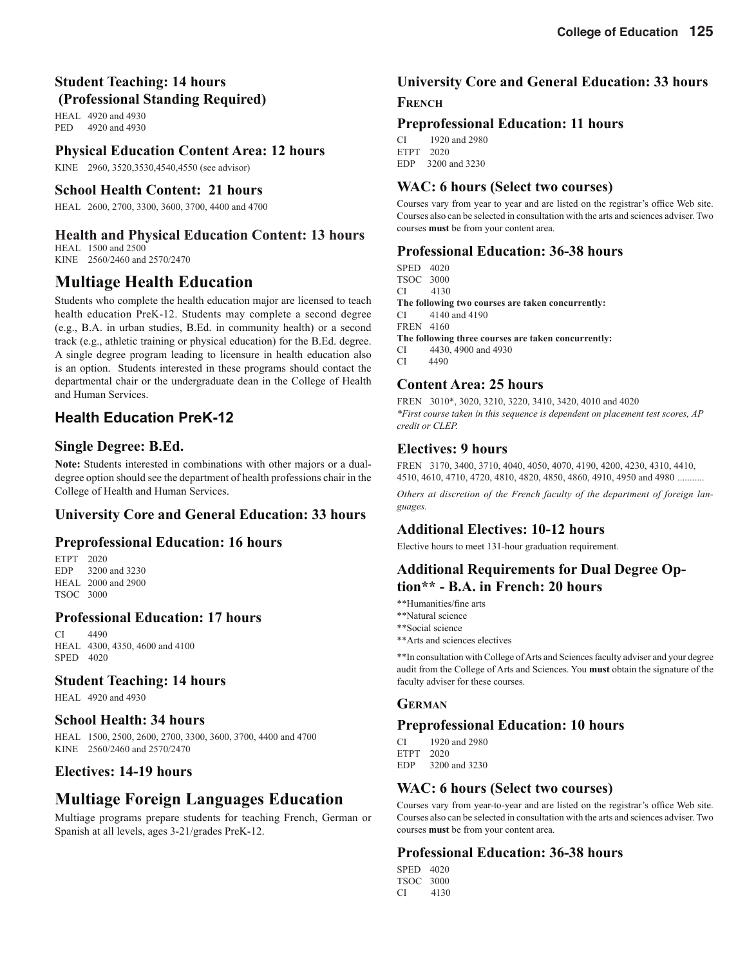# **Student Teaching: 14 hours (Professional Standing Required)**

HEAL 4920 and 4930 PED 4920 and 4930

## **Physical Education Content Area: 12 hours**

KINE 2960, 3520,3530,4540,4550 (see advisor)

### **School Health Content: 21 hours**

HEAL 2600, 2700, 3300, 3600, 3700, 4400 and 4700

# **Health and Physical Education Content: 13 hours**

HEAL 1500 and 2500 KINE 2560/2460 and 2570/2470

# **Multiage Health Education**

Students who complete the health education major are licensed to teach health education PreK-12. Students may complete a second degree (e.g., B.A. in urban studies, B.Ed. in community health) or a second track (e.g., athletic training or physical education) for the B.Ed. degree. A single degree program leading to licensure in health education also is an option. Students interested in these programs should contact the departmental chair or the undergraduate dean in the College of Health and Human Services.

# **Health Education PreK-12**

# **Single Degree: B.Ed.**

**Note:** Students interested in combinations with other majors or a dualdegree option should see the department of health professions chair in the College of Health and Human Services.

# **University Core and General Education: 33 hours**

### **Preprofessional Education: 16 hours**

ETPT 2020<br>EDP 3200 3200 and 3230 HEAL 2000 and 2900 TSOC 3000

### **Professional Education: 17 hours**

CI 4490 HEAL 4300, 4350, 4600 and 4100 SPED 4020

### **Student Teaching: 14 hours**

HEAL 4920 and 4930

### **School Health: 34 hours**

HEAL 1500, 2500, 2600, 2700, 3300, 3600, 3700, 4400 and 4700 KINE 2560/2460 and 2570/2470

### **Electives: 14-19 hours**

# **Multiage Foreign Languages Education**

Multiage programs prepare students for teaching French, German or Spanish at all levels, ages 3-21/grades PreK-12.

# **University Core and General Education: 33 hours**

### **FRENCH**

### **Preprofessional Education: 11 hours**

CI 1920 and 2980 ETPT 2020 EDP 3200 and 3230

### **WAC: 6 hours (Select two courses)**

Courses vary from year to year and are listed on the registrar's office Web site. Courses also can be selected in consultation with the arts and sciences adviser. Two courses **must** be from your content area.

## **Professional Education: 36-38 hours**

SPED 4020 TSOC 3000 CI 4130 **The following two courses are taken concurrently:** CI 4140 and 4190 FREN 4160 **The following three courses are taken concurrently:** CI 4430, 4900 and 4930 4490

## **Content Area: 25 hours**

FREN 3010\*, 3020, 3210, 3220, 3410, 3420, 4010 and 4020 *\*First course taken in this sequence is dependent on placement test scores, AP credit or CLEP.*

## **Electives: 9 hours**

FREN 3170, 3400, 3710, 4040, 4050, 4070, 4190, 4200, 4230, 4310, 4410, 4510, 4610, 4710, 4720, 4810, 4820, 4850, 4860, 4910, 4950 and 4980 ...........

*Others at discretion of the French faculty of the department of foreign languages.*

# **Additional Electives: 10-12 hours**

Elective hours to meet 131-hour graduation requirement.

# **Additional Requirements for Dual Degree Option\*\* - B.A. in French: 20 hours**

- \*\*Humanities/fine arts
- \*\*Natural science
- \*\*Social science
- \*\*Arts and sciences electives

\*\*In consultation with College of Arts and Sciences faculty adviser and your degree audit from the College of Arts and Sciences. You **must** obtain the signature of the faculty adviser for these courses.

### **GERMAN**

### **Preprofessional Education: 10 hours**

CI 1920 and 2980 ETPT 2020 EDP 3200 and 3230

# **WAC: 6 hours (Select two courses)**

Courses vary from year-to-year and are listed on the registrar's office Web site. Courses also can be selected in consultation with the arts and sciences adviser. Two courses **must** be from your content area.

# **Professional Education: 36-38 hours**

SPED 4020 TSOC 3000 CI 4130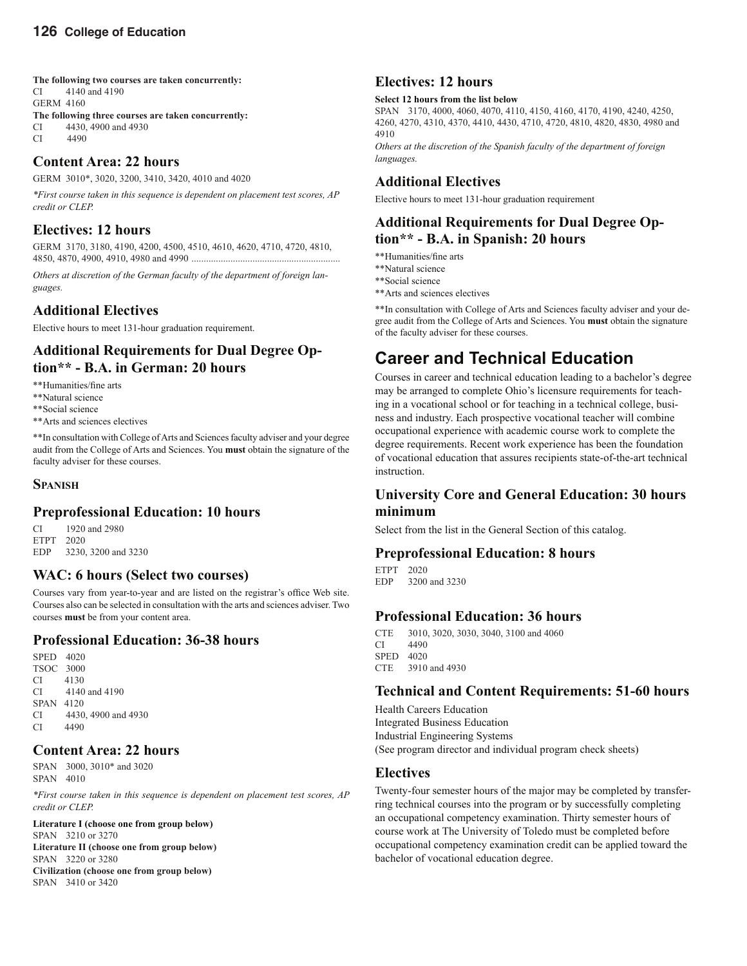**The following two courses are taken concurrently:**

CI 4140 and 4190 GERM 4160

- **The following three courses are taken concurrently:**
- $CI$  4430, 4900 and 4930

CI 4490

### **Content Area: 22 hours**

GERM 3010\*, 3020, 3200, 3410, 3420, 4010 and 4020

*\*First course taken in this sequence is dependent on placement test scores, AP credit or CLEP.*

# **Electives: 12 hours**

GERM 3170, 3180, 4190, 4200, 4500, 4510, 4610, 4620, 4710, 4720, 4810, 4850, 4870, 4900, 4910, 4980 and 4990 .............................................................

*Others at discretion of the German faculty of the department of foreign languages.*

# **Additional Electives**

Elective hours to meet 131-hour graduation requirement.

# **Additional Requirements for Dual Degree Option\*\* - B.A. in German: 20 hours**

\*\*Humanities/fine arts

- \*\*Natural science
- \*\*Social science
- \*\*Arts and sciences electives

\*\*In consultation with College of Arts and Sciences faculty adviser and your degree audit from the College of Arts and Sciences. You **must** obtain the signature of the faculty adviser for these courses.

### **SPANISH**

# **Preprofessional Education: 10 hours**

CI 1920 and 2980 ETPT 2020 EDP 3230, 3200 and 3230

# **WAC: 6 hours (Select two courses)**

Courses vary from year-to-year and are listed on the registrar's office Web site. Courses also can be selected in consultation with the arts and sciences adviser. Two courses **must** be from your content area.

# **Professional Education: 36-38 hours**

SPED 4020 TSOC 3000 CI 4130 CI 4140 and 4190 SPAN 4120 CI 4430, 4900 and 4930 CI 4490

# **Content Area: 22 hours**

SPAN 3000, 3010\* and 3020 SPAN 4010

*\*First course taken in this sequence is dependent on placement test scores, AP credit or CLEP.* 

#### **Literature I (choose one from group below)**  SPAN 3210 or 3270

**Literature II (choose one from group below)**  SPAN 3220 or 3280 **Civilization (choose one from group below)**  SPAN 3410 or 3420

# **Electives: 12 hours**

#### **Select 12 hours from the list below**

SPAN 3170, 4000, 4060, 4070, 4110, 4150, 4160, 4170, 4190, 4240, 4250, 4260, 4270, 4310, 4370, 4410, 4430, 4710, 4720, 4810, 4820, 4830, 4980 and 4910

*Others at the discretion of the Spanish faculty of the department of foreign languages.*

### **Additional Electives**

Elective hours to meet 131-hour graduation requirement

## **Additional Requirements for Dual Degree Option\*\* - B.A. in Spanish: 20 hours**

- \*\*Humanities/fine arts
- \*\*Natural science
- \*\*Social science
- \*\*Arts and sciences electives

\*\*In consultation with College of Arts and Sciences faculty adviser and your degree audit from the College of Arts and Sciences. You **must** obtain the signature of the faculty adviser for these courses.

# **Career and Technical Education**

Courses in career and technical education leading to a bachelor's degree may be arranged to complete Ohio's licensure requirements for teaching in a vocational school or for teaching in a technical college, business and industry. Each prospective vocational teacher will combine occupational experience with academic course work to complete the degree requirements. Recent work experience has been the foundation of vocational education that assures recipients state-of-the-art technical instruction.

# **University Core and General Education: 30 hours minimum**

Select from the list in the General Section of this catalog.

# **Preprofessional Education: 8 hours**

ETPT 2020<br>EDP 3200 3200 and 3230

# **Professional Education: 36 hours**

CTE 3010, 3020, 3030, 3040, 3100 and 4060 CI 4490 SPED 4020 CTE 3910 and 4930

# **Technical and Content Requirements: 51-60 hours**

Health Careers Education Integrated Business Education Industrial Engineering Systems (See program director and individual program check sheets)

# **Electives**

Twenty-four semester hours of the major may be completed by transferring technical courses into the program or by successfully completing an occupational competency examination. Thirty semester hours of course work at The University of Toledo must be completed before occupational competency examination credit can be applied toward the bachelor of vocational education degree.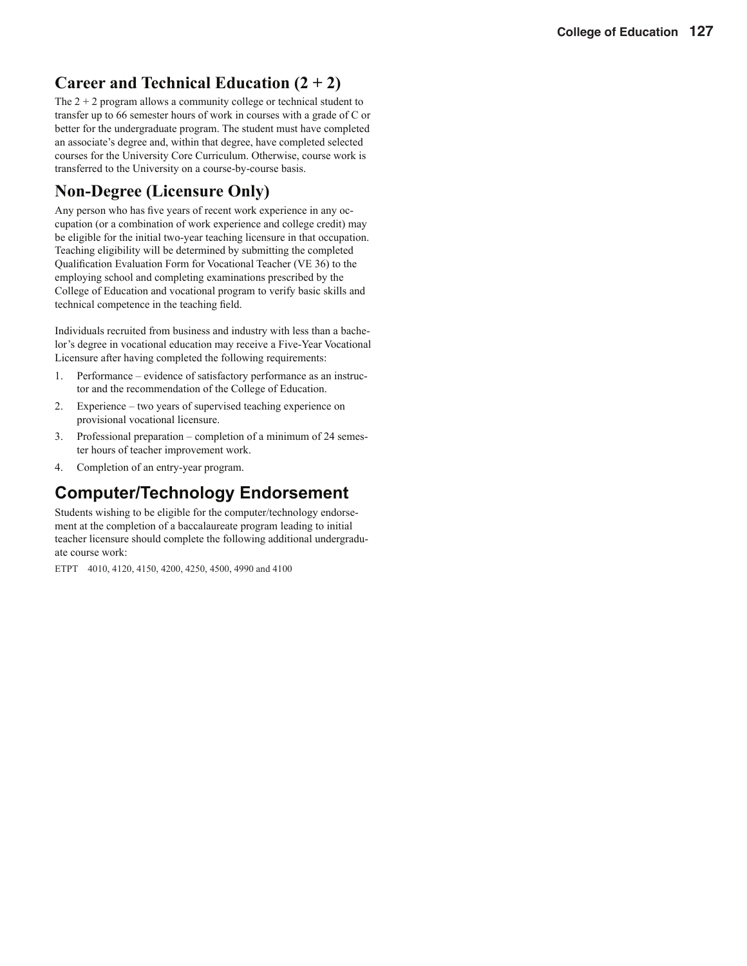# **Career and Technical Education (2 + 2)**

The  $2 + 2$  program allows a community college or technical student to transfer up to 66 semester hours of work in courses with a grade of C or better for the undergraduate program. The student must have completed an associate's degree and, within that degree, have completed selected courses for the University Core Curriculum. Otherwise, course work is transferred to the University on a course-by-course basis.

# **Non-Degree (Licensure Only)**

Any person who has five years of recent work experience in any occupation (or a combination of work experience and college credit) may be eligible for the initial two-year teaching licensure in that occupation. Teaching eligibility will be determined by submitting the completed Qualification Evaluation Form for Vocational Teacher (VE 36) to the employing school and completing examinations prescribed by the College of Education and vocational program to verify basic skills and technical competence in the teaching field.

Individuals recruited from business and industry with less than a bachelor's degree in vocational education may receive a Five-Year Vocational Licensure after having completed the following requirements:

- 1. Performance evidence of satisfactory performance as an instructor and the recommendation of the College of Education.
- 2. Experience two years of supervised teaching experience on provisional vocational licensure.
- 3. Professional preparation completion of a minimum of 24 semester hours of teacher improvement work.
- 4. Completion of an entry-year program.

# **Computer/Technology Endorsement**

Students wishing to be eligible for the computer/technology endorsement at the completion of a baccalaureate program leading to initial teacher licensure should complete the following additional undergraduate course work:

ETPT 4010, 4120, 4150, 4200, 4250, 4500, 4990 and 4100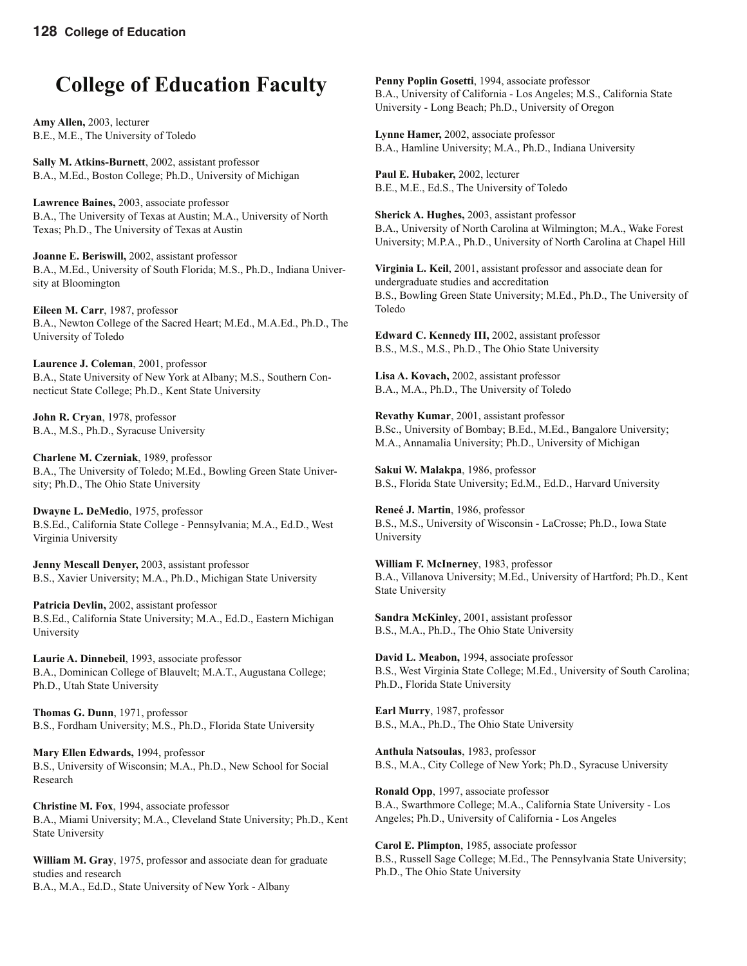# **College of Education Faculty**

**Amy Allen,** 2003, lecturer B.E., M.E., The University of Toledo

**Sally M. Atkins-Burnett**, 2002, assistant professor B.A., M.Ed., Boston College; Ph.D., University of Michigan

**Lawrence Baines,** 2003, associate professor B.A., The University of Texas at Austin; M.A., University of North Texas; Ph.D., The University of Texas at Austin

**Joanne E. Beriswill,** 2002, assistant professor B.A., M.Ed., University of South Florida; M.S., Ph.D., Indiana University at Bloomington

**Eileen M. Carr**, 1987, professor B.A., Newton College of the Sacred Heart; M.Ed., M.A.Ed., Ph.D., The University of Toledo

**Laurence J. Coleman**, 2001, professor B.A., State University of New York at Albany; M.S., Southern Connecticut State College; Ph.D., Kent State University

**John R. Cryan**, 1978, professor B.A., M.S., Ph.D., Syracuse University

**Charlene M. Czerniak**, 1989, professor B.A., The University of Toledo; M.Ed., Bowling Green State University; Ph.D., The Ohio State University

**Dwayne L. DeMedio**, 1975, professor B.S.Ed., California State College - Pennsylvania; M.A., Ed.D., West Virginia University

**Jenny Mescall Denyer,** 2003, assistant professor B.S., Xavier University; M.A., Ph.D., Michigan State University

Patricia Devlin, 2002, assistant professor B.S.Ed., California State University; M.A., Ed.D., Eastern Michigan University

**Laurie A. Dinnebeil**, 1993, associate professor B.A., Dominican College of Blauvelt; M.A.T., Augustana College; Ph.D., Utah State University

**Thomas G. Dunn**, 1971, professor B.S., Fordham University; M.S., Ph.D., Florida State University

**Mary Ellen Edwards,** 1994, professor B.S., University of Wisconsin; M.A., Ph.D., New School for Social Research

**Christine M. Fox**, 1994, associate professor B.A., Miami University; M.A., Cleveland State University; Ph.D., Kent State University

**William M. Gray**, 1975, professor and associate dean for graduate studies and research B.A., M.A., Ed.D., State University of New York - Albany

**Penny Poplin Gosetti**, 1994, associate professor B.A., University of California - Los Angeles; M.S., California State University - Long Beach; Ph.D., University of Oregon

**Lynne Hamer,** 2002, associate professor B.A., Hamline University; M.A., Ph.D., Indiana University

**Paul E. Hubaker,** 2002, lecturer B.E., M.E., Ed.S., The University of Toledo

**Sherick A. Hughes,** 2003, assistant professor B.A., University of North Carolina at Wilmington; M.A., Wake Forest University; M.P.A., Ph.D., University of North Carolina at Chapel Hill

**Virginia L. Keil**, 2001, assistant professor and associate dean for undergraduate studies and accreditation B.S., Bowling Green State University; M.Ed., Ph.D., The University of Toledo

**Edward C. Kennedy III,** 2002, assistant professor B.S., M.S., M.S., Ph.D., The Ohio State University

**Lisa A. Kovach,** 2002, assistant professor B.A., M.A., Ph.D., The University of Toledo

**Revathy Kumar**, 2001, assistant professor B.Sc., University of Bombay; B.Ed., M.Ed., Bangalore University; M.A., Annamalia University; Ph.D., University of Michigan

**Sakui W. Malakpa**, 1986, professor B.S., Florida State University; Ed.M., Ed.D., Harvard University

**Reneé J. Martin**, 1986, professor B.S., M.S., University of Wisconsin - LaCrosse; Ph.D., Iowa State University

**William F. McInerney**, 1983, professor B.A., Villanova University; M.Ed., University of Hartford; Ph.D., Kent State University

**Sandra McKinley**, 2001, assistant professor B.S., M.A., Ph.D., The Ohio State University

**David L. Meabon,** 1994, associate professor B.S., West Virginia State College; M.Ed., University of South Carolina; Ph.D., Florida State University

**Earl Murry**, 1987, professor B.S., M.A., Ph.D., The Ohio State University

**Anthula Natsoulas**, 1983, professor B.S., M.A., City College of New York; Ph.D., Syracuse University

**Ronald Opp**, 1997, associate professor B.A., Swarthmore College; M.A., California State University - Los Angeles; Ph.D., University of California - Los Angeles

**Carol E. Plimpton**, 1985, associate professor B.S., Russell Sage College; M.Ed., The Pennsylvania State University; Ph.D., The Ohio State University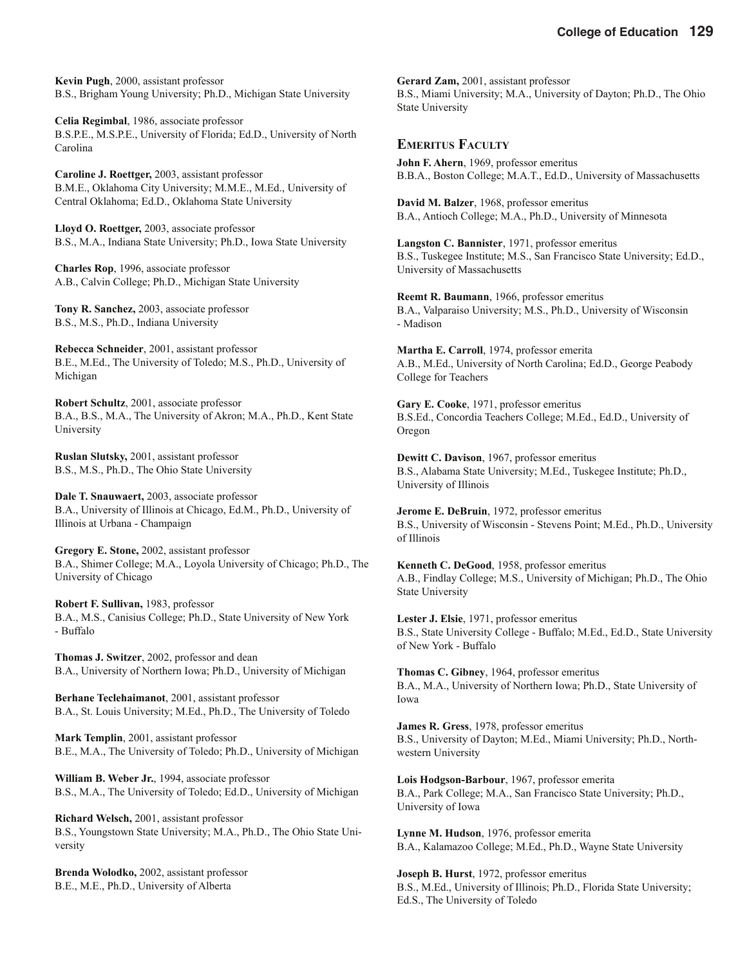**Kevin Pugh**, 2000, assistant professor B.S., Brigham Young University; Ph.D., Michigan State University

**Celia Regimbal**, 1986, associate professor B.S.P.E., M.S.P.E., University of Florida; Ed.D., University of North Carolina

**Caroline J. Roettger,** 2003, assistant professor B.M.E., Oklahoma City University; M.M.E., M.Ed., University of Central Oklahoma; Ed.D., Oklahoma State University

**Lloyd O. Roettger,** 2003, associate professor B.S., M.A., Indiana State University; Ph.D., Iowa State University

**Charles Rop**, 1996, associate professor A.B., Calvin College; Ph.D., Michigan State University

**Tony R. Sanchez,** 2003, associate professor B.S., M.S., Ph.D., Indiana University

**Rebecca Schneider**, 2001, assistant professor B.E., M.Ed., The University of Toledo; M.S., Ph.D., University of Michigan

**Robert Schultz**, 2001, associate professor B.A., B.S., M.A., The University of Akron; M.A., Ph.D., Kent State University

**Ruslan Slutsky,** 2001, assistant professor B.S., M.S., Ph.D., The Ohio State University

**Dale T. Snauwaert,** 2003, associate professor B.A., University of Illinois at Chicago, Ed.M., Ph.D., University of Illinois at Urbana - Champaign

**Gregory E. Stone,** 2002, assistant professor B.A., Shimer College; M.A., Loyola University of Chicago; Ph.D., The University of Chicago

**Robert F. Sullivan,** 1983, professor B.A., M.S., Canisius College; Ph.D., State University of New York - Buffalo

**Thomas J. Switzer**, 2002, professor and dean B.A., University of Northern Iowa; Ph.D., University of Michigan

**Berhane Teclehaimanot**, 2001, assistant professor B.A., St. Louis University; M.Ed., Ph.D., The University of Toledo

**Mark Templin**, 2001, assistant professor B.E., M.A., The University of Toledo; Ph.D., University of Michigan

**William B. Weber Jr.**, 1994, associate professor B.S., M.A., The University of Toledo; Ed.D., University of Michigan

**Richard Welsch,** 2001, assistant professor B.S., Youngstown State University; M.A., Ph.D., The Ohio State University

**Brenda Wolodko,** 2002, assistant professor B.E., M.E., Ph.D., University of Alberta

**Gerard Zam,** 2001, assistant professor B.S., Miami University; M.A., University of Dayton; Ph.D., The Ohio State University

**EMERITUS FACULTY**

**John F. Ahern**, 1969, professor emeritus B.B.A., Boston College; M.A.T., Ed.D., University of Massachusetts

**David M. Balzer**, 1968, professor emeritus B.A., Antioch College; M.A., Ph.D., University of Minnesota

**Langston C. Bannister**, 1971, professor emeritus B.S., Tuskegee Institute; M.S., San Francisco State University; Ed.D., University of Massachusetts

**Reemt R. Baumann**, 1966, professor emeritus B.A., Valparaiso University; M.S., Ph.D., University of Wisconsin - Madison

**Martha E. Carroll**, 1974, professor emerita A.B., M.Ed., University of North Carolina; Ed.D., George Peabody College for Teachers

**Gary E. Cooke**, 1971, professor emeritus B.S.Ed., Concordia Teachers College; M.Ed., Ed.D., University of Oregon

**Dewitt C. Davison**, 1967, professor emeritus B.S., Alabama State University; M.Ed., Tuskegee Institute; Ph.D., University of Illinois

**Jerome E. DeBruin**, 1972, professor emeritus B.S., University of Wisconsin - Stevens Point; M.Ed., Ph.D., University of Illinois

**Kenneth C. DeGood**, 1958, professor emeritus A.B., Findlay College; M.S., University of Michigan; Ph.D., The Ohio State University

**Lester J. Elsie**, 1971, professor emeritus B.S., State University College - Buffalo; M.Ed., Ed.D., State University of New York - Buffalo

**Thomas C. Gibney**, 1964, professor emeritus B.A., M.A., University of Northern Iowa; Ph.D., State University of Iowa

**James R. Gress**, 1978, professor emeritus B.S., University of Dayton; M.Ed., Miami University; Ph.D., Northwestern University

**Lois Hodgson-Barbour**, 1967, professor emerita B.A., Park College; M.A., San Francisco State University; Ph.D., University of Iowa

**Lynne M. Hudson**, 1976, professor emerita B.A., Kalamazoo College; M.Ed., Ph.D., Wayne State University

**Joseph B. Hurst**, 1972, professor emeritus B.S., M.Ed., University of Illinois; Ph.D., Florida State University; Ed.S., The University of Toledo